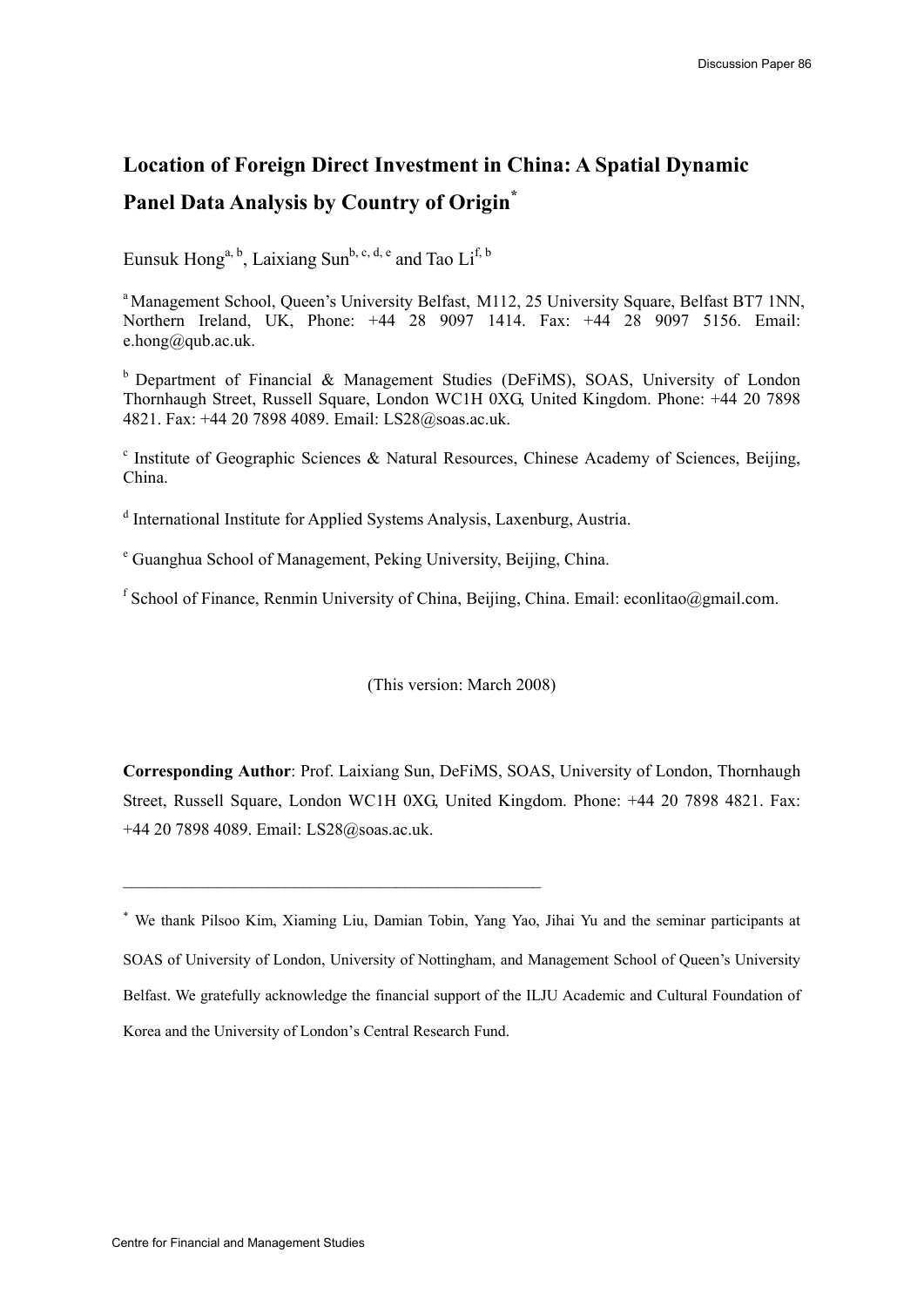# **Location of Foreign Direct Investment in China: A Spatial Dynamic Panel Data Analysis by Country of Origin\***

Eunsuk Hong<sup>a, b</sup>, Laixiang Sun<sup>b, c, d, e</sup> and Tao Li<sup>f, b</sup>

<sup>a</sup> Management School, Queen's University Belfast, M112, 25 University Square, Belfast BT7 1NN, Northern Ireland, UK, Phone: +44 28 9097 1414. Fax: +44 28 9097 5156. Email: e.hong@qub.ac.uk.

 $b$  Department of Financial & Management Studies (DeFiMS), SOAS, University of London Thornhaugh Street, Russell Square, London WC1H 0XG, United Kingdom. Phone: +44 20 7898 4821. Fax: +44 20 7898 4089. Email: LS28@soas.ac.uk.

<sup>c</sup> Institute of Geographic Sciences & Natural Resources, Chinese Academy of Sciences, Beijing, China.

<sup>d</sup> International Institute for Applied Systems Analysis, Laxenburg, Austria.

e Guanghua School of Management, Peking University, Beijing, China.

 $\mathcal{L}_\text{max}$  and the contract of the contract of the contract of the contract of the contract of the contract of the contract of the contract of the contract of the contract of the contract of the contract of the contrac

<sup>f</sup> School of Finance, Renmin University of China, Beijing, China. Email: econlitao@gmail.com.

(This version: March 2008)

**Corresponding Author**: Prof. Laixiang Sun, DeFiMS, SOAS, University of London, Thornhaugh Street, Russell Square, London WC1H 0XG, United Kingdom. Phone: +44 20 7898 4821. Fax: +44 20 7898 4089. Email: LS28@soas.ac.uk.

<sup>∗</sup> We thank Pilsoo Kim, Xiaming Liu, Damian Tobin, Yang Yao, Jihai Yu and the seminar participants at SOAS of University of London, University of Nottingham, and Management School of Queen's University Belfast. We gratefully acknowledge the financial support of the ILJU Academic and Cultural Foundation of Korea and the University of London's Central Research Fund.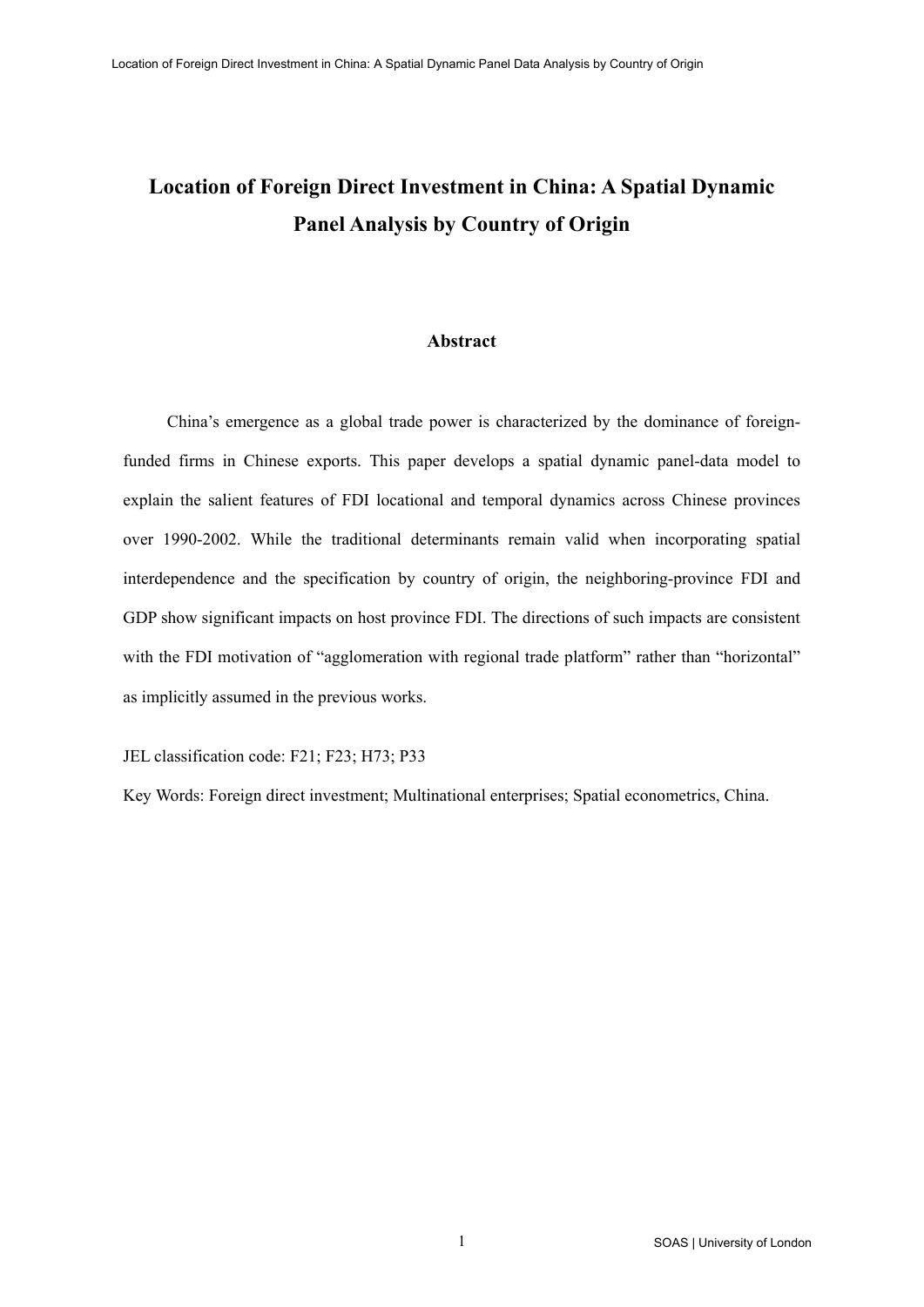# **Location of Foreign Direct Investment in China: A Spatial Dynamic Panel Analysis by Country of Origin**

# **Abstract**

China's emergence as a global trade power is characterized by the dominance of foreignfunded firms in Chinese exports. This paper develops a spatial dynamic panel-data model to explain the salient features of FDI locational and temporal dynamics across Chinese provinces over 1990-2002. While the traditional determinants remain valid when incorporating spatial interdependence and the specification by country of origin, the neighboring-province FDI and GDP show significant impacts on host province FDI. The directions of such impacts are consistent with the FDI motivation of "agglomeration with regional trade platform" rather than "horizontal" as implicitly assumed in the previous works.

JEL classification code: F21; F23; H73; P33

Key Words: Foreign direct investment; Multinational enterprises; Spatial econometrics, China.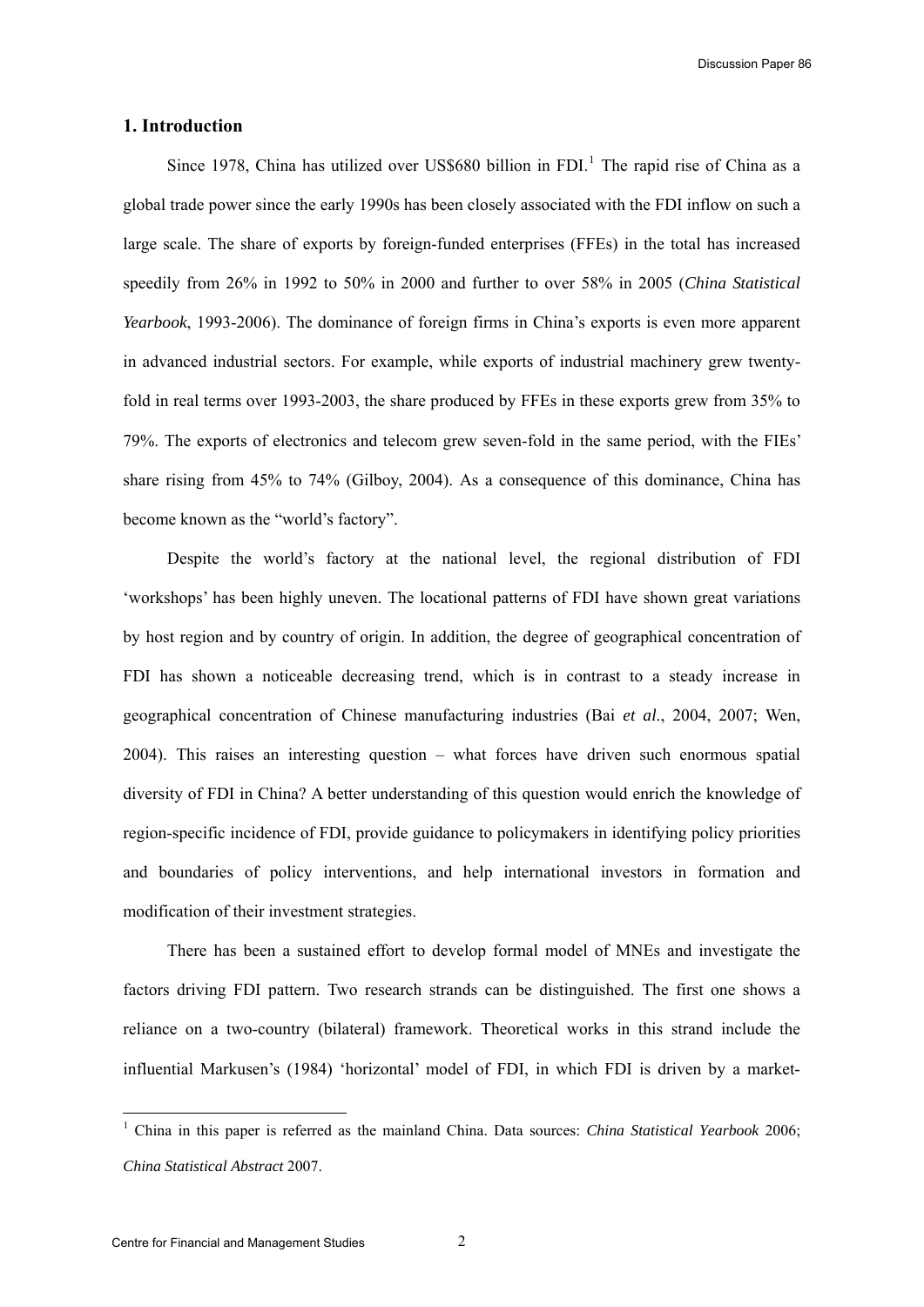#### **1. Introduction**

Since [1](#page-2-0)978, China has utilized over US\$680 billion in FDI.<sup>1</sup> The rapid rise of China as a global trade power since the early 1990s has been closely associated with the FDI inflow on such a large scale. The share of exports by foreign-funded enterprises (FFEs) in the total has increased speedily from 26% in 1992 to 50% in 2000 and further to over 58% in 2005 (*China Statistical Yearbook*, 1993-2006). The dominance of foreign firms in China's exports is even more apparent in advanced industrial sectors. For example, while exports of industrial machinery grew twentyfold in real terms over 1993-2003, the share produced by FFEs in these exports grew from 35% to 79%. The exports of electronics and telecom grew seven-fold in the same period, with the FIEs' share rising from 45% to 74% (Gilboy, 2004). As a consequence of this dominance, China has become known as the "world's factory".

Despite the world's factory at the national level, the regional distribution of FDI 'workshops' has been highly uneven. The locational patterns of FDI have shown great variations by host region and by country of origin. In addition, the degree of geographical concentration of FDI has shown a noticeable decreasing trend, which is in contrast to a steady increase in geographical concentration of Chinese manufacturing industries (Bai *et al*., 2004, 2007; Wen, 2004). This raises an interesting question – what forces have driven such enormous spatial diversity of FDI in China? A better understanding of this question would enrich the knowledge of region-specific incidence of FDI, provide guidance to policymakers in identifying policy priorities and boundaries of policy interventions, and help international investors in formation and modification of their investment strategies.

There has been a sustained effort to develop formal model of MNEs and investigate the factors driving FDI pattern. Two research strands can be distinguished. The first one shows a reliance on a two-country (bilateral) framework. Theoretical works in this strand include the influential Markusen's (1984) 'horizontal' model of FDI, in which FDI is driven by a market-

l

<span id="page-2-0"></span><sup>1</sup> China in this paper is referred as the mainland China. Data sources: *China Statistical Yearbook* 2006; *China Statistical Abstract* 2007.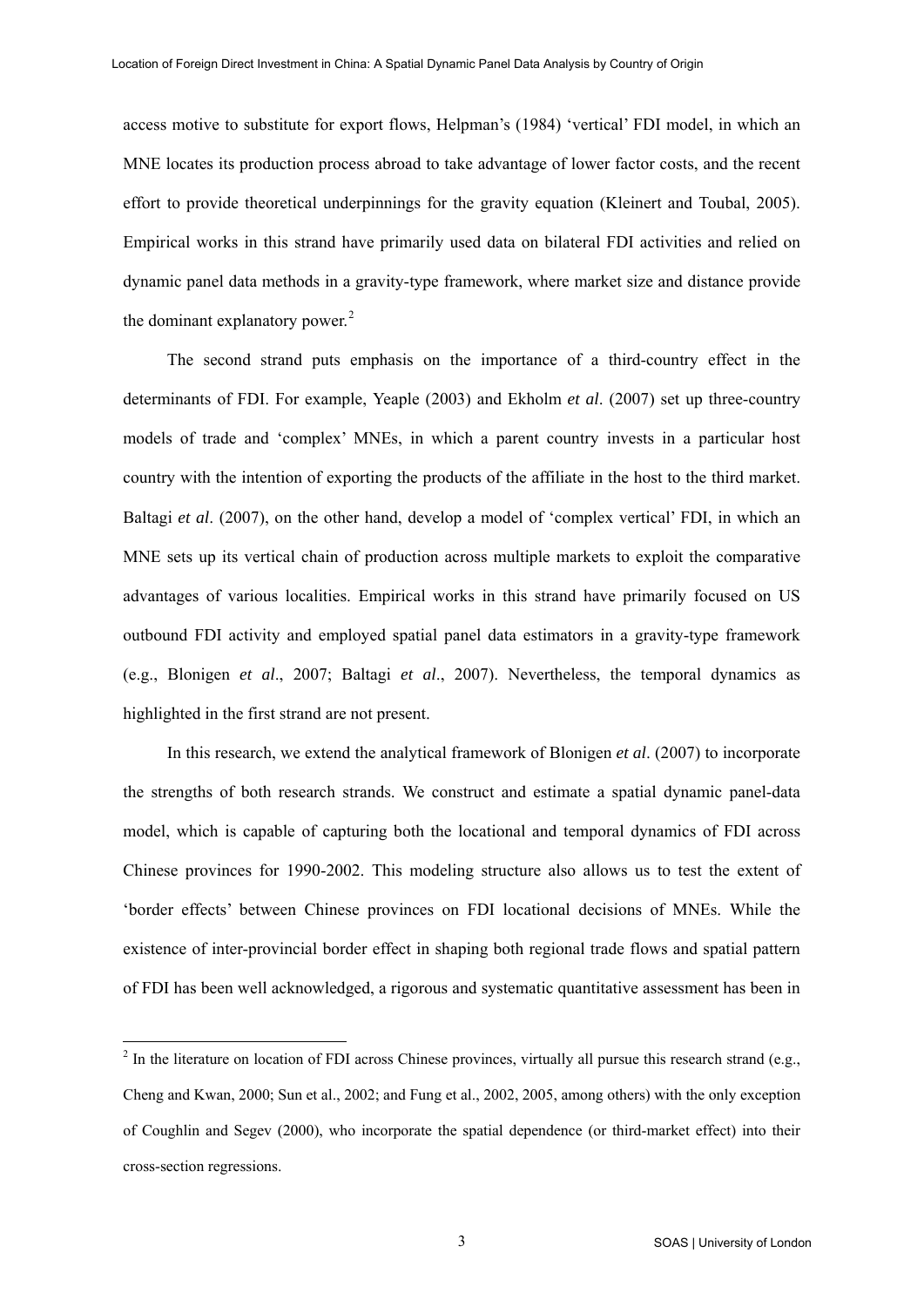access motive to substitute for export flows, Helpman's (1984) 'vertical' FDI model, in which an MNE locates its production process abroad to take advantage of lower factor costs, and the recent effort to provide theoretical underpinnings for the gravity equation (Kleinert and Toubal, 2005). Empirical works in this strand have primarily used data on bilateral FDI activities and relied on dynamic panel data methods in a gravity-type framework, where market size and distance provide the dominant explanatory power. $2$ 

The second strand puts emphasis on the importance of a third-country effect in the determinants of FDI. For example, Yeaple (2003) and Ekholm *et al*. (2007) set up three-country models of trade and 'complex' MNEs, in which a parent country invests in a particular host country with the intention of exporting the products of the affiliate in the host to the third market. Baltagi *et al*. (2007), on the other hand, develop a model of 'complex vertical' FDI, in which an MNE sets up its vertical chain of production across multiple markets to exploit the comparative advantages of various localities. Empirical works in this strand have primarily focused on US outbound FDI activity and employed spatial panel data estimators in a gravity-type framework (e.g., Blonigen *et al*., 2007; Baltagi *et al*., 2007). Nevertheless, the temporal dynamics as highlighted in the first strand are not present.

In this research, we extend the analytical framework of Blonigen *et al*. (2007) to incorporate the strengths of both research strands. We construct and estimate a spatial dynamic panel-data model, which is capable of capturing both the locational and temporal dynamics of FDI across Chinese provinces for 1990-2002. This modeling structure also allows us to test the extent of 'border effects' between Chinese provinces on FDI locational decisions of MNEs. While the existence of inter-provincial border effect in shaping both regional trade flows and spatial pattern of FDI has been well acknowledged, a rigorous and systematic quantitative assessment has been in

 $\overline{a}$ 

<span id="page-3-0"></span> $^2$  In the literature on location of FDI across Chinese provinces, virtually all pursue this research strand (e.g., Cheng and Kwan, 2000; Sun et al., 2002; and Fung et al., 2002, 2005, among others) with the only exception of Coughlin and Segev (2000), who incorporate the spatial dependence (or third-market effect) into their cross-section regressions.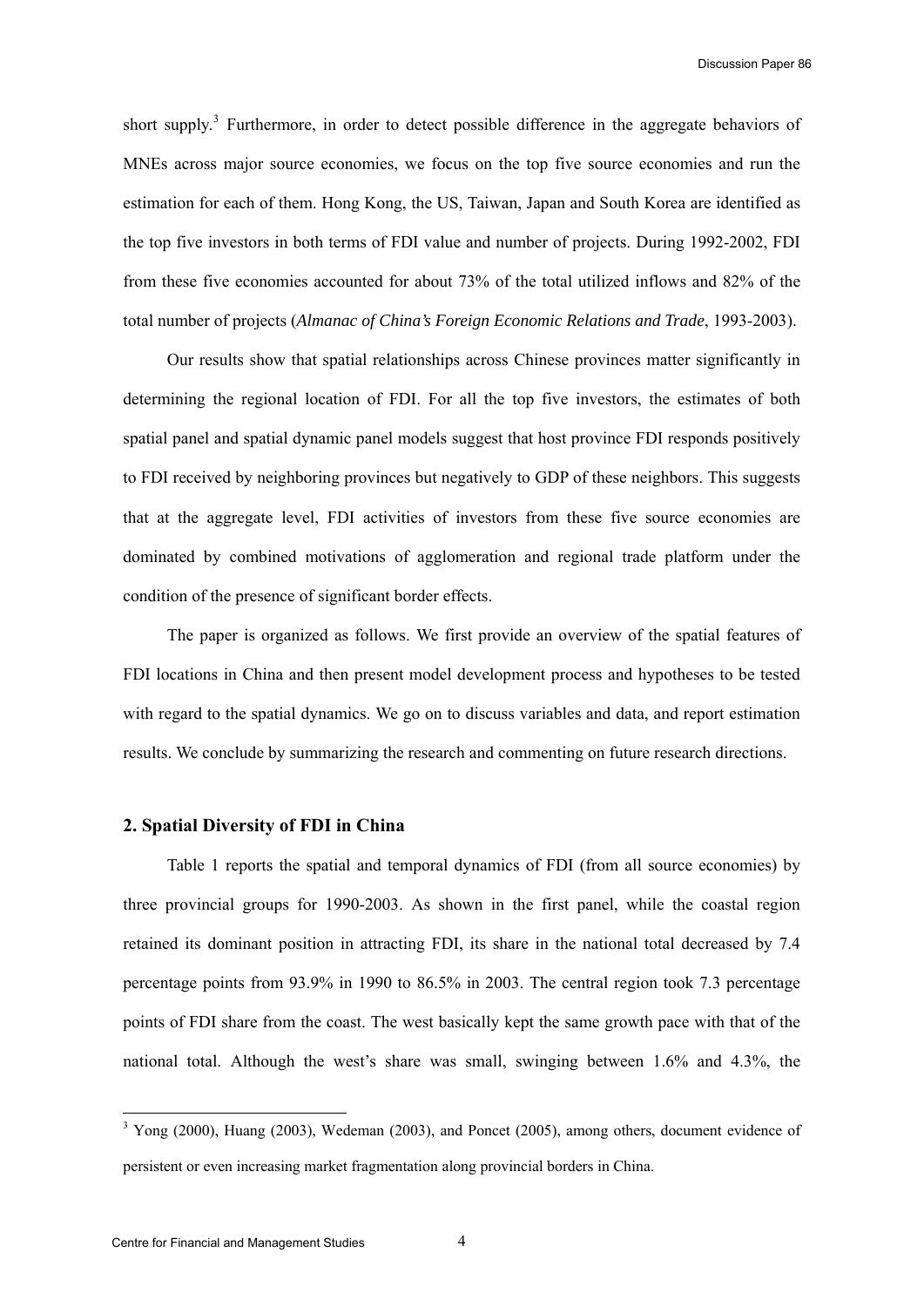short supply.<sup>[3](#page-4-0)</sup> Furthermore, in order to detect possible difference in the aggregate behaviors of MNEs across major source economies, we focus on the top five source economies and run the estimation for each of them. Hong Kong, the US, Taiwan, Japan and South Korea are identified as the top five investors in both terms of FDI value and number of projects. During 1992-2002, FDI from these five economies accounted for about 73% of the total utilized inflows and 82% of the total number of projects (*Almanac of China's Foreign Economic Relations and Trade*, 1993-2003).

Our results show that spatial relationships across Chinese provinces matter significantly in determining the regional location of FDI. For all the top five investors, the estimates of both spatial panel and spatial dynamic panel models suggest that host province FDI responds positively to FDI received by neighboring provinces but negatively to GDP of these neighbors. This suggests that at the aggregate level, FDI activities of investors from these five source economies are dominated by combined motivations of agglomeration and regional trade platform under the condition of the presence of significant border effects.

The paper is organized as follows. We first provide an overview of the spatial features of FDI locations in China and then present model development process and hypotheses to be tested with regard to the spatial dynamics. We go on to discuss variables and data, and report estimation results. We conclude by summarizing the research and commenting on future research directions.

# **2. Spatial Diversity of FDI in China**

Table 1 reports the spatial and temporal dynamics of FDI (from all source economies) by three provincial groups for 1990-2003. As shown in the first panel, while the coastal region retained its dominant position in attracting FDI, its share in the national total decreased by 7.4 percentage points from 93.9% in 1990 to 86.5% in 2003. The central region took 7.3 percentage points of FDI share from the coast. The west basically kept the same growth pace with that of the national total. Although the west's share was small, swinging between 1.6% and 4.3%, the

l

<span id="page-4-0"></span> $3$  Yong (2000), Huang (2003), Wedeman (2003), and Poncet (2005), among others, document evidence of persistent or even increasing market fragmentation along provincial borders in China.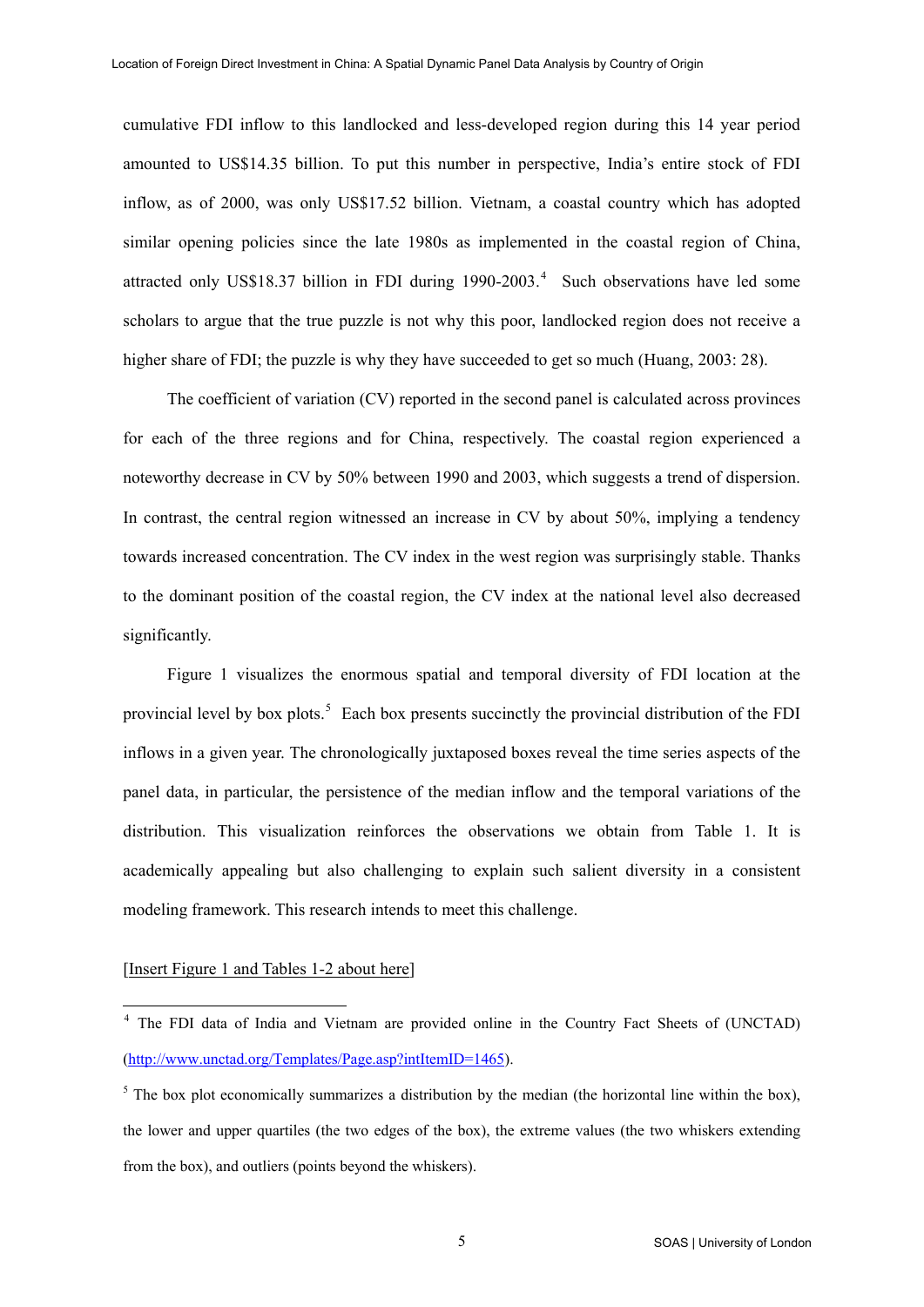<span id="page-5-0"></span>cumulative FDI inflow to this landlocked and less-developed region during this 14 year period amounted to US\$14.35 billion. To put this number in perspective, India's entire stock of FDI inflow, as of 2000, was only US\$17.52 billion. Vietnam, a coastal country which has adopted similar opening policies since the late 1980s as implemented in the coastal region of China, attracted only US\$18.37 billion in FDI during  $1990-2003$ .<sup>[4](#page-5-0)</sup> Such observations have led some scholars to argue that the true puzzle is not why this poor, landlocked region does not receive a higher share of FDI; the puzzle is why they have succeeded to get so much (Huang, 2003: 28).

The coefficient of variation (CV) reported in the second panel is calculated across provinces for each of the three regions and for China, respectively. The coastal region experienced a noteworthy decrease in CV by 50% between 1990 and 2003, which suggests a trend of dispersion. In contrast, the central region witnessed an increase in CV by about 50%, implying a tendency towards increased concentration. The CV index in the west region was surprisingly stable. Thanks to the dominant position of the coastal region, the CV index at the national level also decreased significantly.

Figure 1 visualizes the enormous spatial and temporal diversity of FDI location at the provincial level by box plots.<sup>[5](#page-5-0)</sup> Each box presents succinctly the provincial distribution of the FDI inflows in a given year. The chronologically juxtaposed boxes reveal the time series aspects of the panel data, in particular, the persistence of the median inflow and the temporal variations of the distribution. This visualization reinforces the observations we obtain from Table 1. It is academically appealing but also challenging to explain such salient diversity in a consistent modeling framework. This research intends to meet this challenge.

# [Insert Figure 1 and Tables 1-2 about here]

l

<sup>&</sup>lt;sup>4</sup> The FDI data of India and Vietnam are provided online in the Country Fact Sheets of (UNCTAD) (<http://www.unctad.org/Templates/Page.asp?intItemID=1465>).

<sup>&</sup>lt;sup>5</sup> The box plot economically summarizes a distribution by the median (the horizontal line within the box), the lower and upper quartiles (the two edges of the box), the extreme values (the two whiskers extending from the box), and outliers (points beyond the whiskers).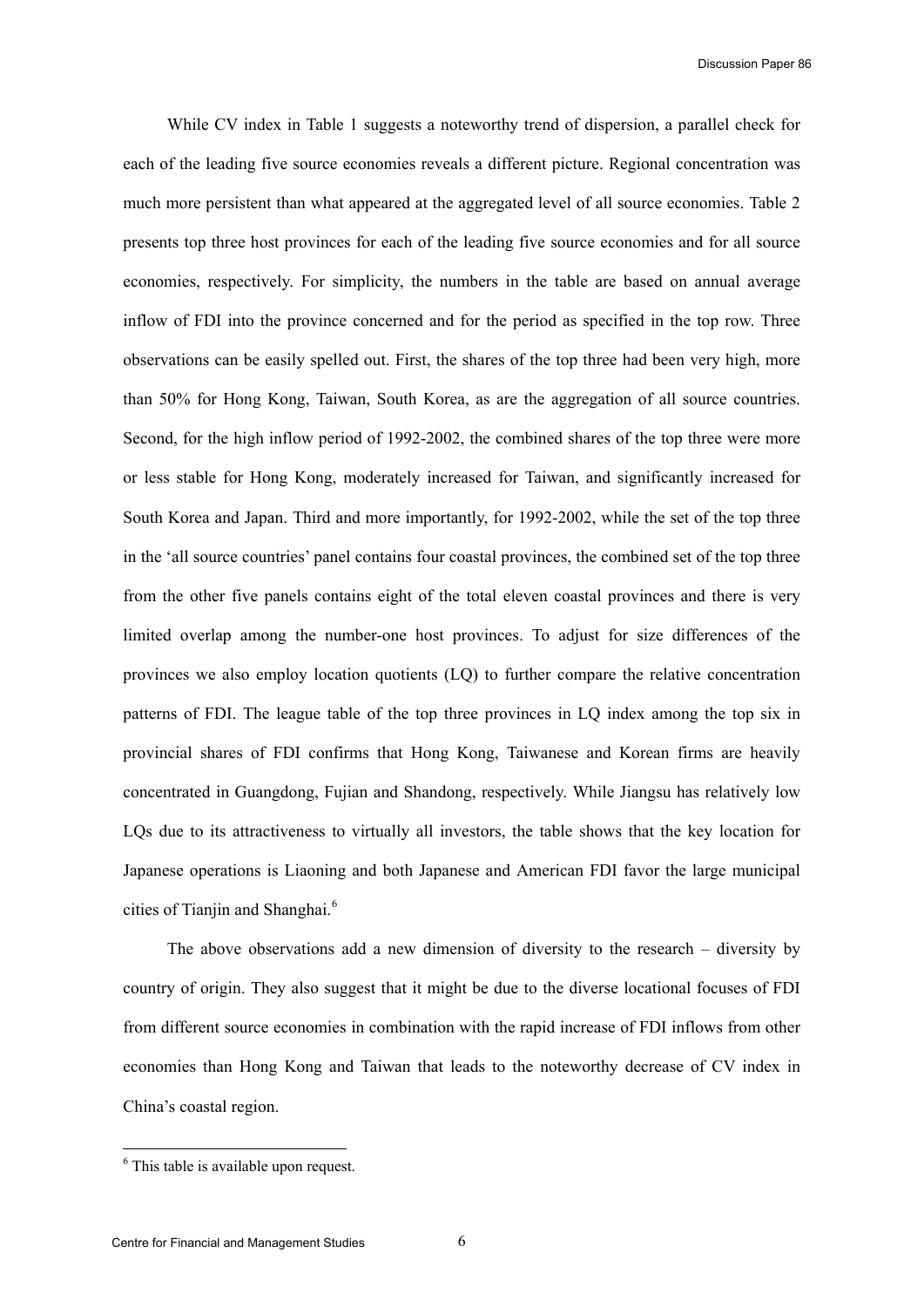<span id="page-6-0"></span>While CV index in Table 1 suggests a noteworthy trend of dispersion, a parallel check for each of the leading five source economies reveals a different picture. Regional concentration was much more persistent than what appeared at the aggregated level of all source economies. Table 2 presents top three host provinces for each of the leading five source economies and for all source economies, respectively. For simplicity, the numbers in the table are based on annual average inflow of FDI into the province concerned and for the period as specified in the top row. Three observations can be easily spelled out. First, the shares of the top three had been very high, more than 50% for Hong Kong, Taiwan, South Korea, as are the aggregation of all source countries. Second, for the high inflow period of 1992-2002, the combined shares of the top three were more or less stable for Hong Kong, moderately increased for Taiwan, and significantly increased for South Korea and Japan. Third and more importantly, for 1992-2002, while the set of the top three in the 'all source countries' panel contains four coastal provinces, the combined set of the top three from the other five panels contains eight of the total eleven coastal provinces and there is very limited overlap among the number-one host provinces. To adjust for size differences of the provinces we also employ location quotients (LQ) to further compare the relative concentration patterns of FDI. The league table of the top three provinces in LQ index among the top six in provincial shares of FDI confirms that Hong Kong, Taiwanese and Korean firms are heavily concentrated in Guangdong, Fujian and Shandong, respectively. While Jiangsu has relatively low LQs due to its attractiveness to virtually all investors, the table shows that the key location for Japanese operations is Liaoning and both Japanese and American FDI favor the large municipal cities of Tianjin and Shanghai.<sup>[6](#page-6-0)</sup>

The above observations add a new dimension of diversity to the research – diversity by country of origin. They also suggest that it might be due to the diverse locational focuses of FDI from different source economies in combination with the rapid increase of FDI inflows from other economies than Hong Kong and Taiwan that leads to the noteworthy decrease of CV index in China's coastal region.

 $\overline{a}$ 

<sup>&</sup>lt;sup>6</sup> This table is available upon request.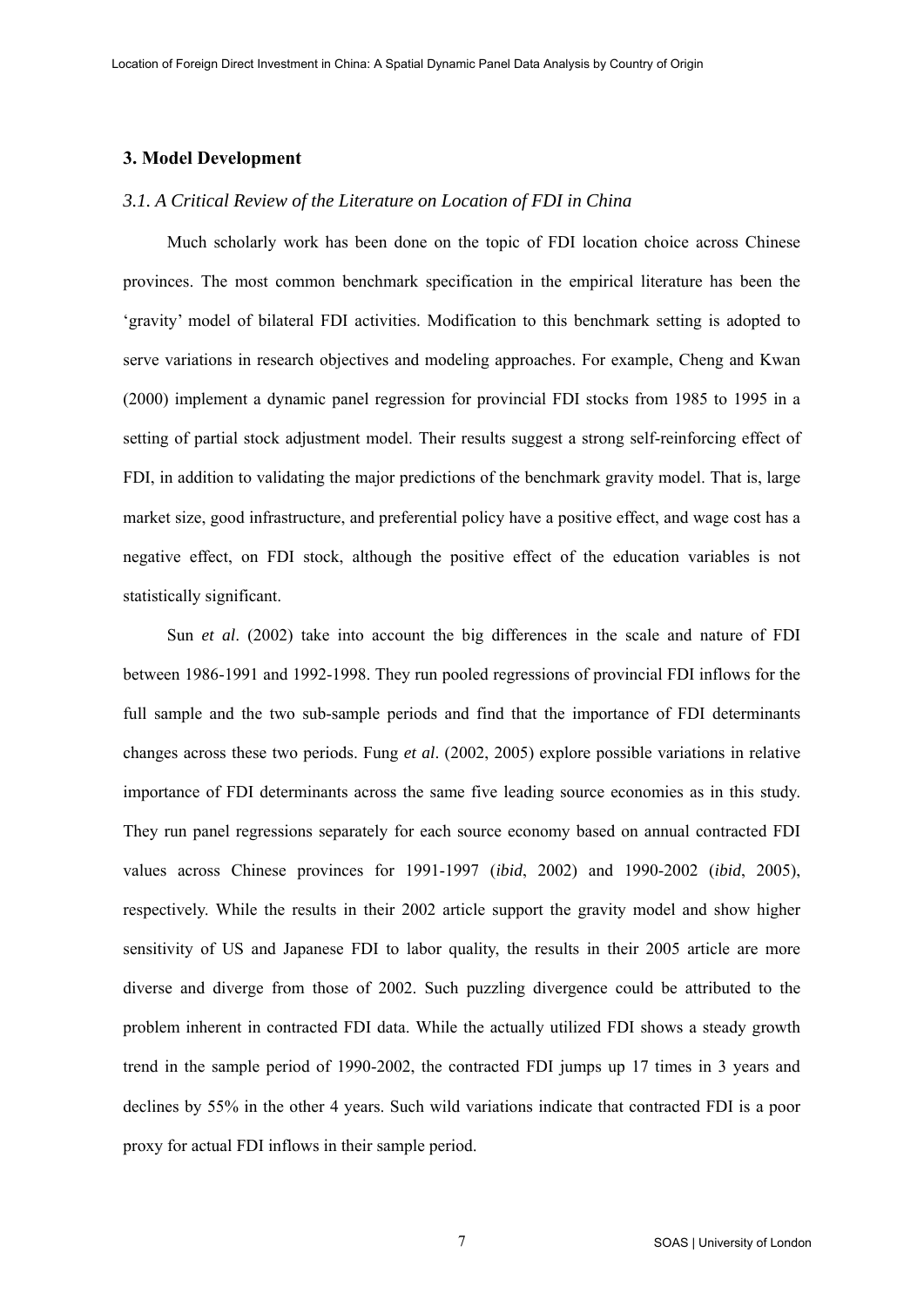# **3. Model Development**

## *3.1. A Critical Review of the Literature on Location of FDI in China*

Much scholarly work has been done on the topic of FDI location choice across Chinese provinces. The most common benchmark specification in the empirical literature has been the 'gravity' model of bilateral FDI activities. Modification to this benchmark setting is adopted to serve variations in research objectives and modeling approaches. For example, Cheng and Kwan (2000) implement a dynamic panel regression for provincial FDI stocks from 1985 to 1995 in a setting of partial stock adjustment model. Their results suggest a strong self-reinforcing effect of FDI, in addition to validating the major predictions of the benchmark gravity model. That is, large market size, good infrastructure, and preferential policy have a positive effect, and wage cost has a negative effect, on FDI stock, although the positive effect of the education variables is not statistically significant.

Sun *et al*. (2002) take into account the big differences in the scale and nature of FDI between 1986-1991 and 1992-1998. They run pooled regressions of provincial FDI inflows for the full sample and the two sub-sample periods and find that the importance of FDI determinants changes across these two periods. Fung *et al*. (2002, 2005) explore possible variations in relative importance of FDI determinants across the same five leading source economies as in this study. They run panel regressions separately for each source economy based on annual contracted FDI values across Chinese provinces for 1991-1997 (*ibid*, 2002) and 1990-2002 (*ibid*, 2005), respectively. While the results in their 2002 article support the gravity model and show higher sensitivity of US and Japanese FDI to labor quality, the results in their 2005 article are more diverse and diverge from those of 2002. Such puzzling divergence could be attributed to the problem inherent in contracted FDI data. While the actually utilized FDI shows a steady growth trend in the sample period of 1990-2002, the contracted FDI jumps up 17 times in 3 years and declines by 55% in the other 4 years. Such wild variations indicate that contracted FDI is a poor proxy for actual FDI inflows in their sample period.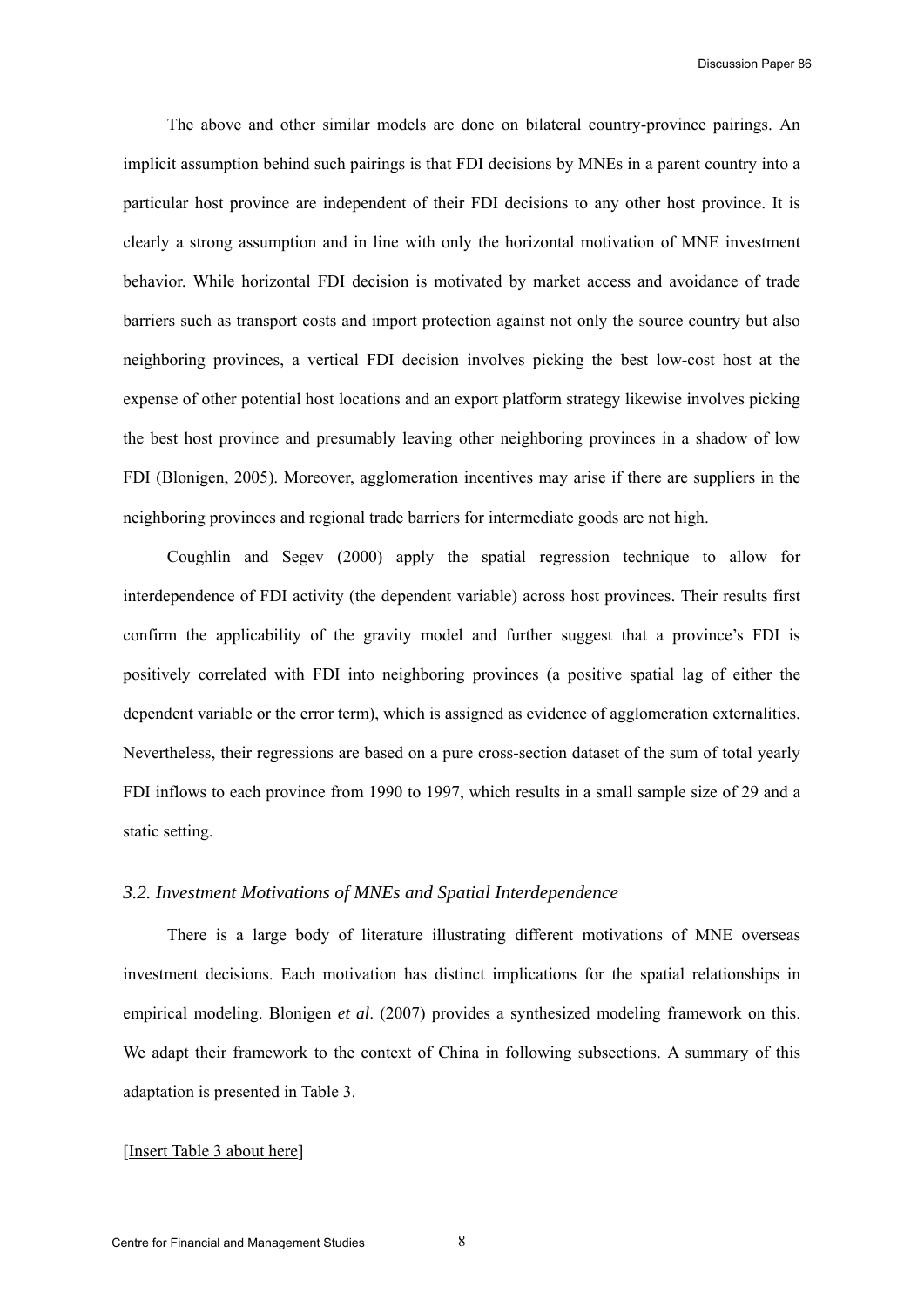The above and other similar models are done on bilateral country-province pairings. An implicit assumption behind such pairings is that FDI decisions by MNEs in a parent country into a particular host province are independent of their FDI decisions to any other host province. It is clearly a strong assumption and in line with only the horizontal motivation of MNE investment behavior. While horizontal FDI decision is motivated by market access and avoidance of trade barriers such as transport costs and import protection against not only the source country but also neighboring provinces, a vertical FDI decision involves picking the best low-cost host at the expense of other potential host locations and an export platform strategy likewise involves picking the best host province and presumably leaving other neighboring provinces in a shadow of low FDI (Blonigen, 2005). Moreover, agglomeration incentives may arise if there are suppliers in the neighboring provinces and regional trade barriers for intermediate goods are not high.

Coughlin and Segev (2000) apply the spatial regression technique to allow for interdependence of FDI activity (the dependent variable) across host provinces. Their results first confirm the applicability of the gravity model and further suggest that a province's FDI is positively correlated with FDI into neighboring provinces (a positive spatial lag of either the dependent variable or the error term), which is assigned as evidence of agglomeration externalities. Nevertheless, their regressions are based on a pure cross-section dataset of the sum of total yearly FDI inflows to each province from 1990 to 1997, which results in a small sample size of 29 and a static setting.

# *3.2. Investment Motivations of MNEs and Spatial Interdependence*

There is a large body of literature illustrating different motivations of MNE overseas investment decisions. Each motivation has distinct implications for the spatial relationships in empirical modeling. Blonigen *et al*. (2007) provides a synthesized modeling framework on this. We adapt their framework to the context of China in following subsections. A summary of this adaptation is presented in Table 3.

#### [Insert Table 3 about here]

8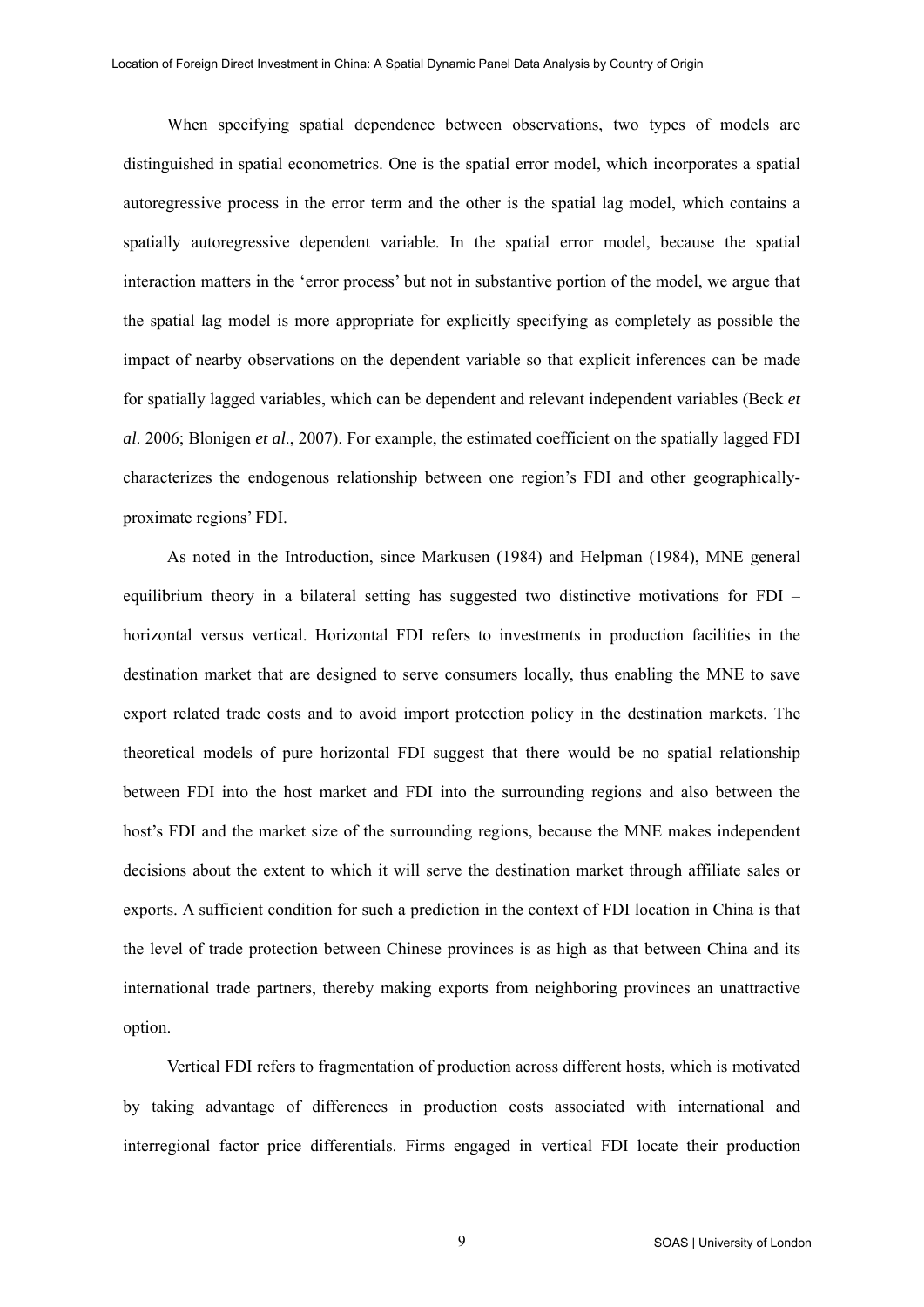When specifying spatial dependence between observations, two types of models are distinguished in spatial econometrics. One is the spatial error model, which incorporates a spatial autoregressive process in the error term and the other is the spatial lag model, which contains a spatially autoregressive dependent variable. In the spatial error model, because the spatial interaction matters in the 'error process' but not in substantive portion of the model, we argue that the spatial lag model is more appropriate for explicitly specifying as completely as possible the impact of nearby observations on the dependent variable so that explicit inferences can be made for spatially lagged variables, which can be dependent and relevant independent variables (Beck *et al*. 2006; Blonigen *et al*., 2007). For example, the estimated coefficient on the spatially lagged FDI characterizes the endogenous relationship between one region's FDI and other geographicallyproximate regions' FDI.

As noted in the Introduction, since Markusen (1984) and Helpman (1984), MNE general equilibrium theory in a bilateral setting has suggested two distinctive motivations for FDI – horizontal versus vertical. Horizontal FDI refers to investments in production facilities in the destination market that are designed to serve consumers locally, thus enabling the MNE to save export related trade costs and to avoid import protection policy in the destination markets. The theoretical models of pure horizontal FDI suggest that there would be no spatial relationship between FDI into the host market and FDI into the surrounding regions and also between the host's FDI and the market size of the surrounding regions, because the MNE makes independent decisions about the extent to which it will serve the destination market through affiliate sales or exports. A sufficient condition for such a prediction in the context of FDI location in China is that the level of trade protection between Chinese provinces is as high as that between China and its international trade partners, thereby making exports from neighboring provinces an unattractive option.

Vertical FDI refers to fragmentation of production across different hosts, which is motivated by taking advantage of differences in production costs associated with international and interregional factor price differentials. Firms engaged in vertical FDI locate their production

9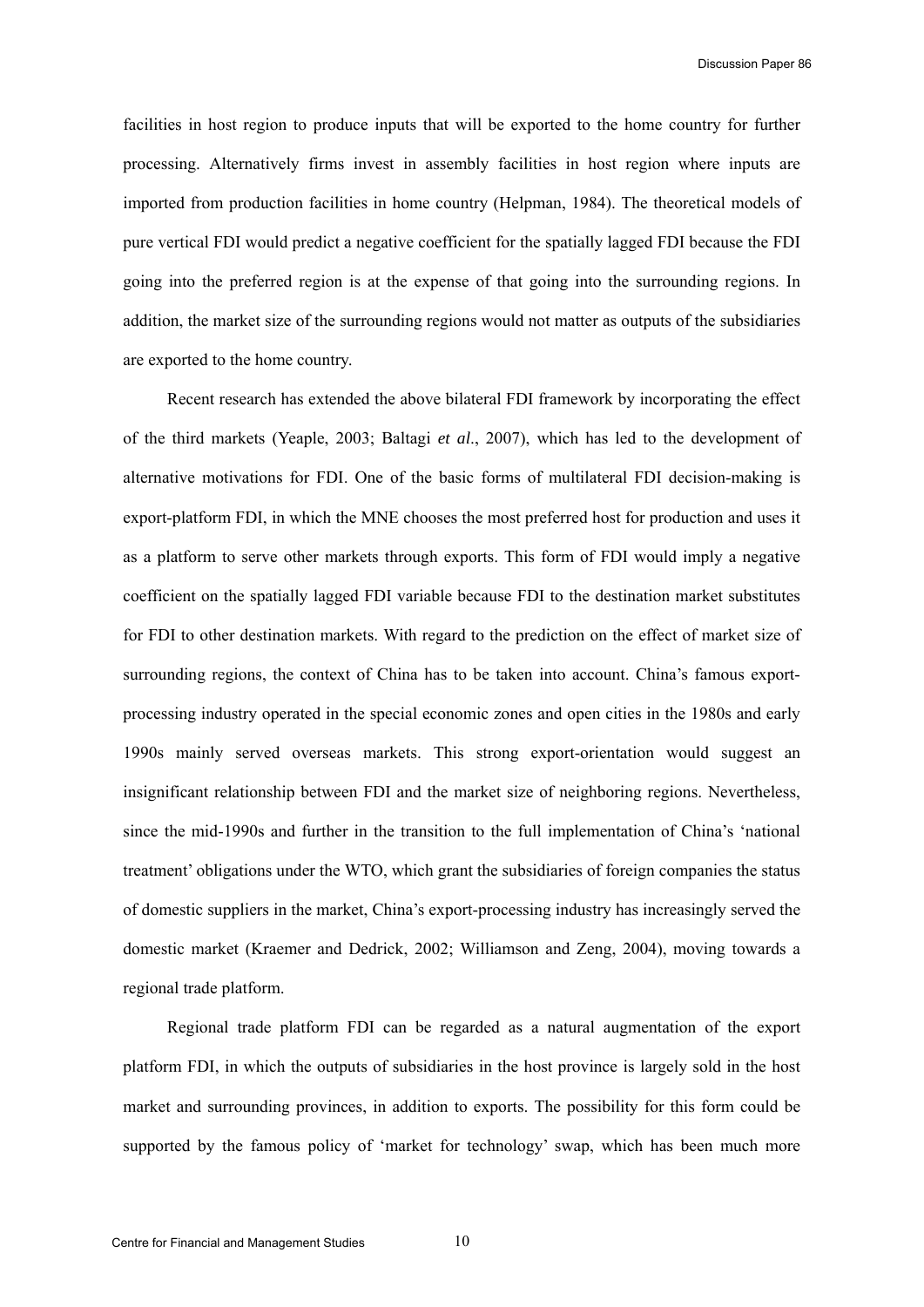facilities in host region to produce inputs that will be exported to the home country for further processing. Alternatively firms invest in assembly facilities in host region where inputs are imported from production facilities in home country (Helpman, 1984). The theoretical models of pure vertical FDI would predict a negative coefficient for the spatially lagged FDI because the FDI going into the preferred region is at the expense of that going into the surrounding regions. In addition, the market size of the surrounding regions would not matter as outputs of the subsidiaries are exported to the home country.

Recent research has extended the above bilateral FDI framework by incorporating the effect of the third markets (Yeaple, 2003; Baltagi *et al*., 2007), which has led to the development of alternative motivations for FDI. One of the basic forms of multilateral FDI decision-making is export-platform FDI, in which the MNE chooses the most preferred host for production and uses it as a platform to serve other markets through exports. This form of FDI would imply a negative coefficient on the spatially lagged FDI variable because FDI to the destination market substitutes for FDI to other destination markets. With regard to the prediction on the effect of market size of surrounding regions, the context of China has to be taken into account. China's famous exportprocessing industry operated in the special economic zones and open cities in the 1980s and early 1990s mainly served overseas markets. This strong export-orientation would suggest an insignificant relationship between FDI and the market size of neighboring regions. Nevertheless, since the mid-1990s and further in the transition to the full implementation of China's 'national treatment' obligations under the WTO, which grant the subsidiaries of foreign companies the status of domestic suppliers in the market, China's export-processing industry has increasingly served the domestic market (Kraemer and Dedrick, 2002; Williamson and Zeng, 2004), moving towards a regional trade platform.

Regional trade platform FDI can be regarded as a natural augmentation of the export platform FDI, in which the outputs of subsidiaries in the host province is largely sold in the host market and surrounding provinces, in addition to exports. The possibility for this form could be supported by the famous policy of 'market for technology' swap, which has been much more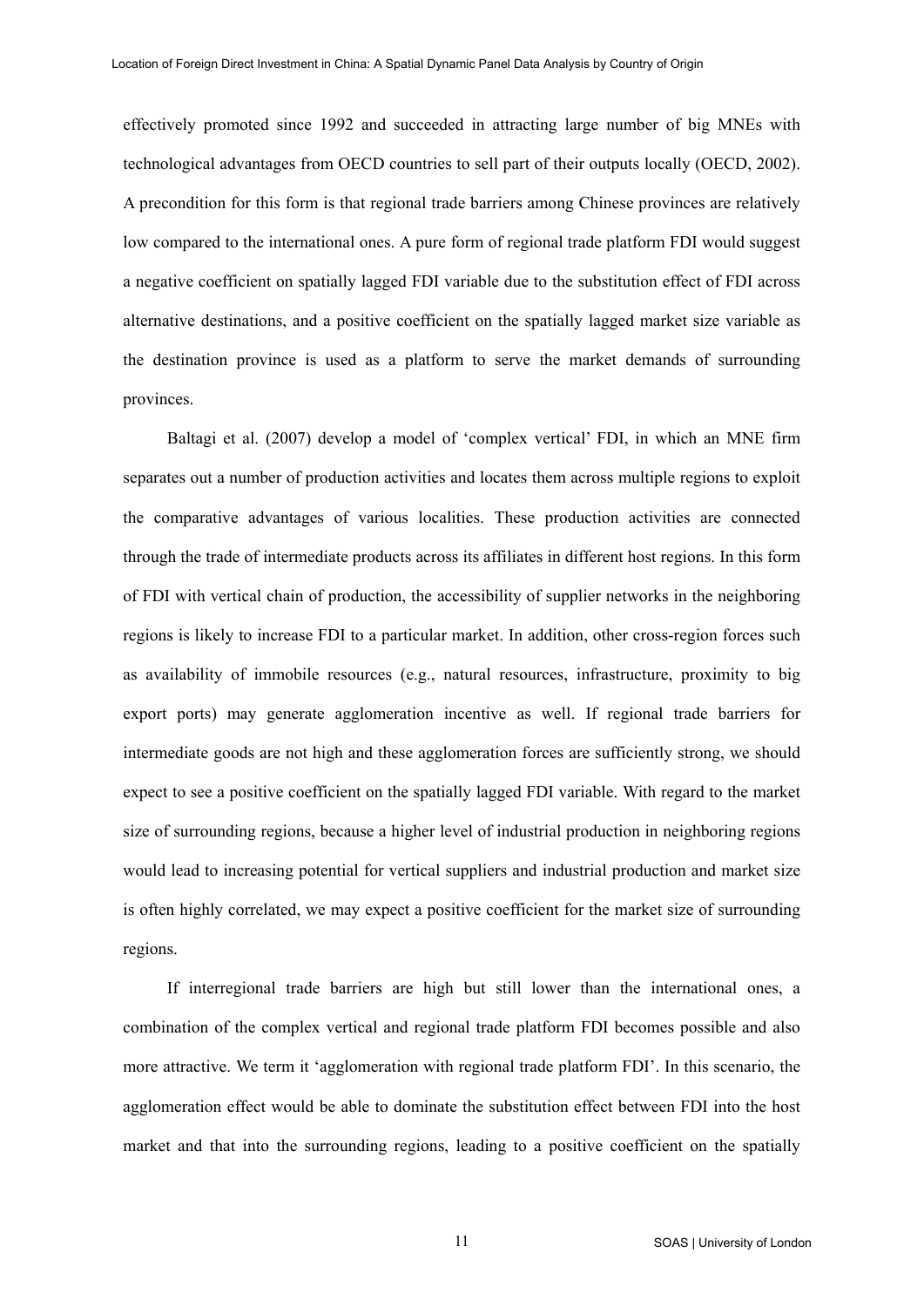effectively promoted since 1992 and succeeded in attracting large number of big MNEs with technological advantages from OECD countries to sell part of their outputs locally (OECD, 2002). A precondition for this form is that regional trade barriers among Chinese provinces are relatively low compared to the international ones. A pure form of regional trade platform FDI would suggest a negative coefficient on spatially lagged FDI variable due to the substitution effect of FDI across alternative destinations, and a positive coefficient on the spatially lagged market size variable as the destination province is used as a platform to serve the market demands of surrounding provinces.

Baltagi et al. (2007) develop a model of 'complex vertical' FDI, in which an MNE firm separates out a number of production activities and locates them across multiple regions to exploit the comparative advantages of various localities. These production activities are connected through the trade of intermediate products across its affiliates in different host regions. In this form of FDI with vertical chain of production, the accessibility of supplier networks in the neighboring regions is likely to increase FDI to a particular market. In addition, other cross-region forces such as availability of immobile resources (e.g., natural resources, infrastructure, proximity to big export ports) may generate agglomeration incentive as well. If regional trade barriers for intermediate goods are not high and these agglomeration forces are sufficiently strong, we should expect to see a positive coefficient on the spatially lagged FDI variable. With regard to the market size of surrounding regions, because a higher level of industrial production in neighboring regions would lead to increasing potential for vertical suppliers and industrial production and market size is often highly correlated, we may expect a positive coefficient for the market size of surrounding regions.

If interregional trade barriers are high but still lower than the international ones, a combination of the complex vertical and regional trade platform FDI becomes possible and also more attractive. We term it 'agglomeration with regional trade platform FDI'. In this scenario, the agglomeration effect would be able to dominate the substitution effect between FDI into the host market and that into the surrounding regions, leading to a positive coefficient on the spatially

11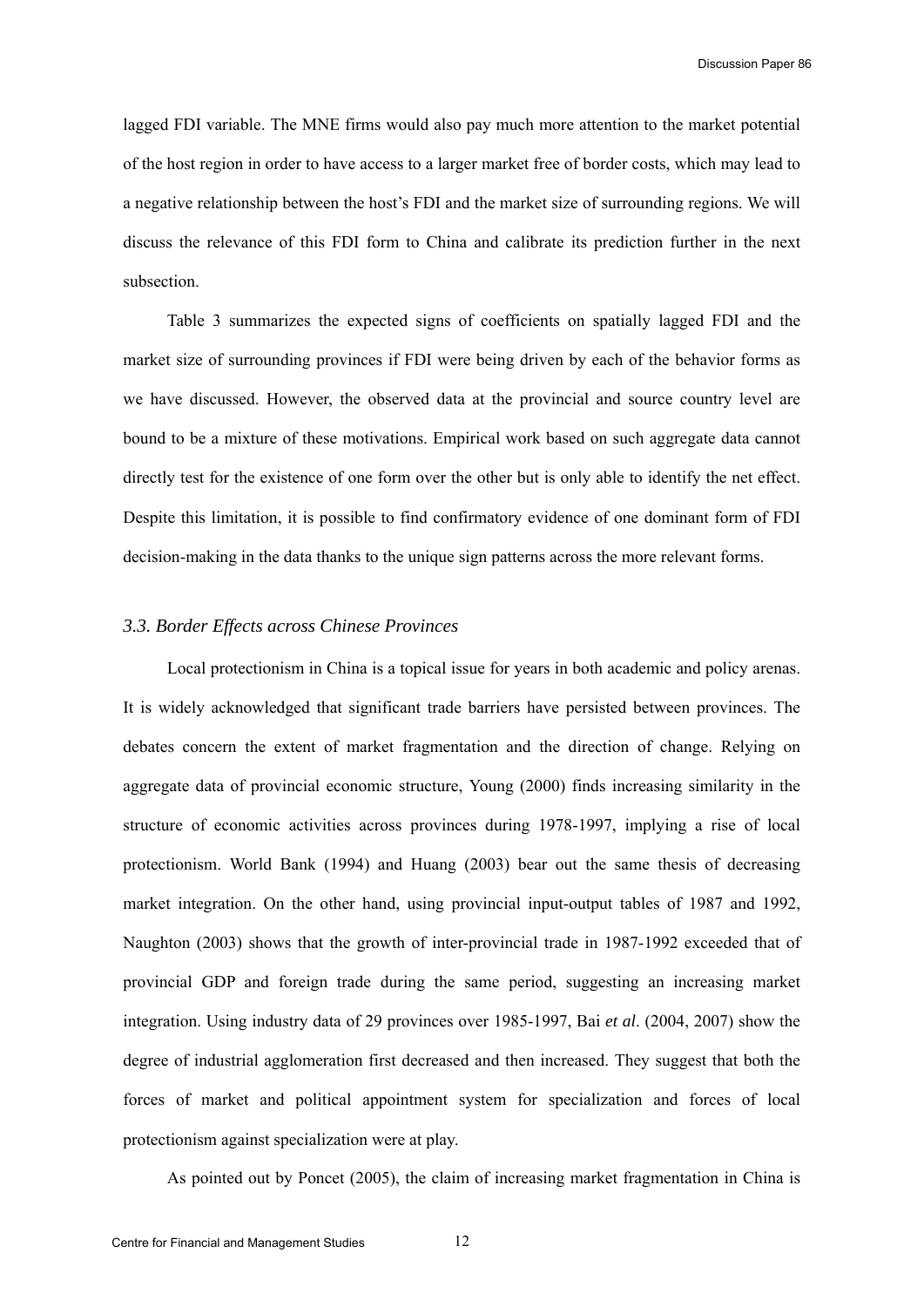lagged FDI variable. The MNE firms would also pay much more attention to the market potential of the host region in order to have access to a larger market free of border costs, which may lead to a negative relationship between the host's FDI and the market size of surrounding regions. We will discuss the relevance of this FDI form to China and calibrate its prediction further in the next subsection.

Table 3 summarizes the expected signs of coefficients on spatially lagged FDI and the market size of surrounding provinces if FDI were being driven by each of the behavior forms as we have discussed. However, the observed data at the provincial and source country level are bound to be a mixture of these motivations. Empirical work based on such aggregate data cannot directly test for the existence of one form over the other but is only able to identify the net effect. Despite this limitation, it is possible to find confirmatory evidence of one dominant form of FDI decision-making in the data thanks to the unique sign patterns across the more relevant forms.

#### *3.3. Border Effects across Chinese Provinces*

Local protectionism in China is a topical issue for years in both academic and policy arenas. It is widely acknowledged that significant trade barriers have persisted between provinces. The debates concern the extent of market fragmentation and the direction of change. Relying on aggregate data of provincial economic structure, Young (2000) finds increasing similarity in the structure of economic activities across provinces during 1978-1997, implying a rise of local protectionism. World Bank (1994) and Huang (2003) bear out the same thesis of decreasing market integration. On the other hand, using provincial input-output tables of 1987 and 1992, Naughton (2003) shows that the growth of inter-provincial trade in 1987-1992 exceeded that of provincial GDP and foreign trade during the same period, suggesting an increasing market integration. Using industry data of 29 provinces over 1985-1997, Bai *et al*. (2004, 2007) show the degree of industrial agglomeration first decreased and then increased. They suggest that both the forces of market and political appointment system for specialization and forces of local protectionism against specialization were at play.

As pointed out by Poncet (2005), the claim of increasing market fragmentation in China is

12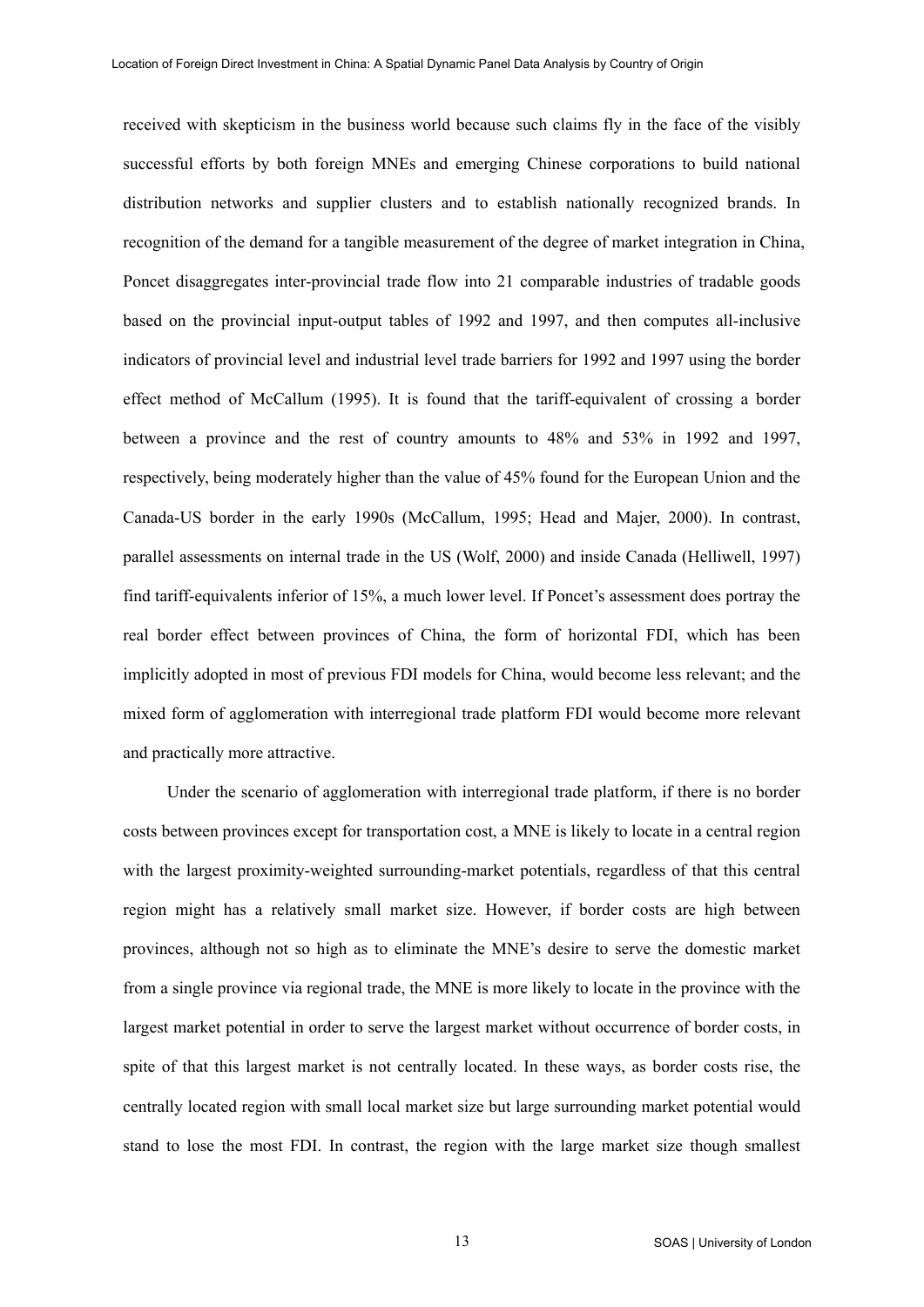received with skepticism in the business world because such claims fly in the face of the visibly successful efforts by both foreign MNEs and emerging Chinese corporations to build national distribution networks and supplier clusters and to establish nationally recognized brands. In recognition of the demand for a tangible measurement of the degree of market integration in China, Poncet disaggregates inter-provincial trade flow into 21 comparable industries of tradable goods based on the provincial input-output tables of 1992 and 1997, and then computes all-inclusive indicators of provincial level and industrial level trade barriers for 1992 and 1997 using the border effect method of McCallum (1995). It is found that the tariff-equivalent of crossing a border between a province and the rest of country amounts to 48% and 53% in 1992 and 1997, respectively, being moderately higher than the value of 45% found for the European Union and the Canada-US border in the early 1990s (McCallum, 1995; Head and Majer, 2000). In contrast, parallel assessments on internal trade in the US (Wolf, 2000) and inside Canada (Helliwell, 1997) find tariff-equivalents inferior of 15%, a much lower level. If Poncet's assessment does portray the real border effect between provinces of China, the form of horizontal FDI, which has been implicitly adopted in most of previous FDI models for China, would become less relevant; and the mixed form of agglomeration with interregional trade platform FDI would become more relevant and practically more attractive.

Under the scenario of agglomeration with interregional trade platform, if there is no border costs between provinces except for transportation cost, a MNE is likely to locate in a central region with the largest proximity-weighted surrounding-market potentials, regardless of that this central region might has a relatively small market size. However, if border costs are high between provinces, although not so high as to eliminate the MNE's desire to serve the domestic market from a single province via regional trade, the MNE is more likely to locate in the province with the largest market potential in order to serve the largest market without occurrence of border costs, in spite of that this largest market is not centrally located. In these ways, as border costs rise, the centrally located region with small local market size but large surrounding market potential would stand to lose the most FDI. In contrast, the region with the large market size though smallest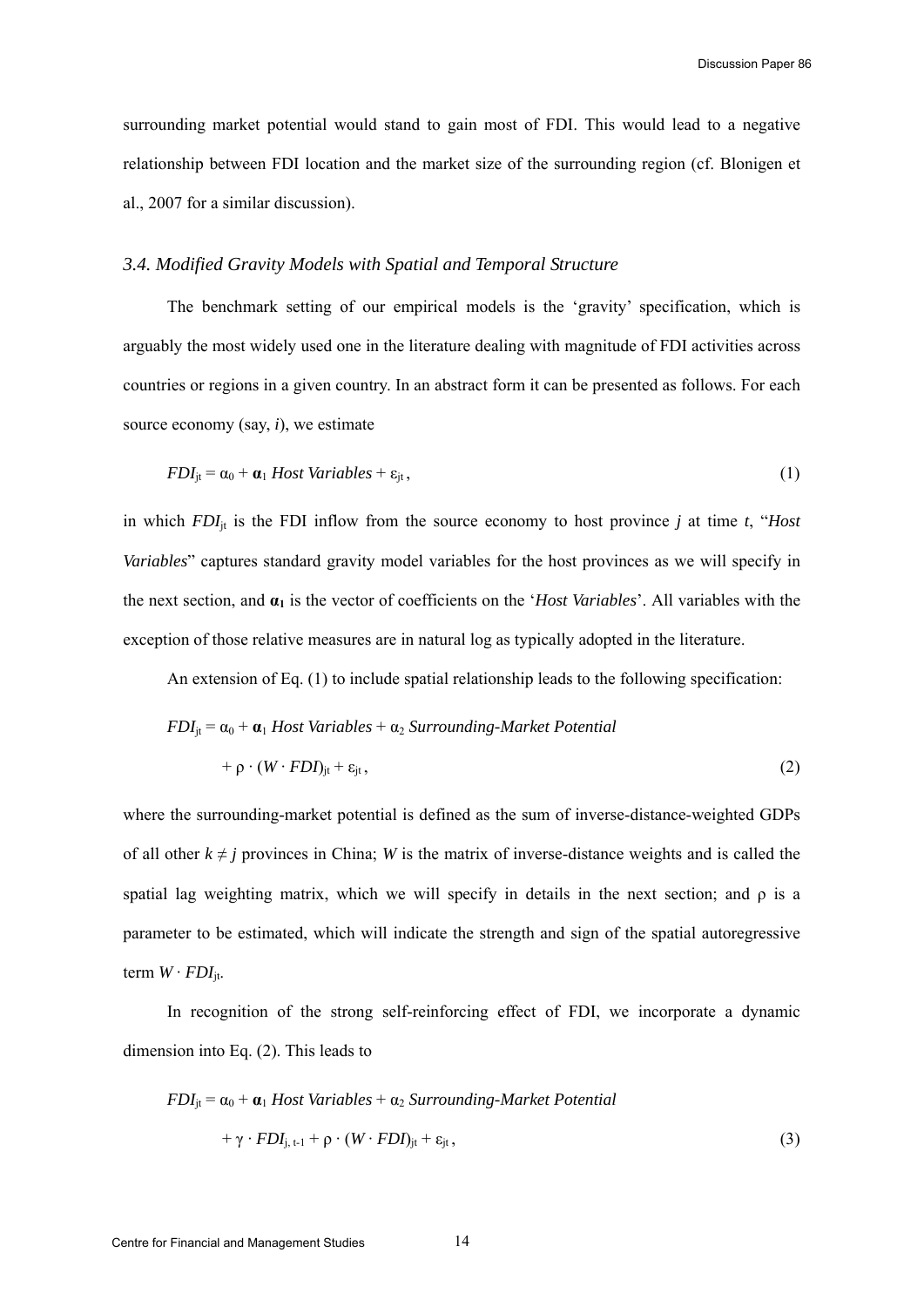surrounding market potential would stand to gain most of FDI. This would lead to a negative relationship between FDI location and the market size of the surrounding region (cf. Blonigen et al., 2007 for a similar discussion).

# *3.4. Modified Gravity Models with Spatial and Temporal Structure*

The benchmark setting of our empirical models is the 'gravity' specification, which is arguably the most widely used one in the literature dealing with magnitude of FDI activities across countries or regions in a given country. In an abstract form it can be presented as follows. For each source economy (say, *i*), we estimate

$$
FDI_{jt} = \alpha_0 + \mathbf{a}_1 \text{ Host Variables} + \varepsilon_{jt},\tag{1}
$$

in which  $FDI_{jt}$  is the FDI inflow from the source economy to host province *j* at time *t*, "*Host Variables*" captures standard gravity model variables for the host provinces as we will specify in the next section, and **α1** is the vector of coefficients on the '*Host Variables*'. All variables with the exception of those relative measures are in natural log as typically adopted in the literature.

An extension of Eq. (1) to include spatial relationship leads to the following specification:

$$
FDI_{jt} = \alpha_0 + \alpha_1 Host Variables + \alpha_2 Surrounding-Marker Potential
$$
  
+  $\rho \cdot (W \cdot FDI_{jt} + \varepsilon_{jt},$  (2)

where the surrounding-market potential is defined as the sum of inverse-distance-weighted GDPs of all other  $k \neq j$  provinces in China; *W* is the matrix of inverse-distance weights and is called the spatial lag weighting matrix, which we will specify in details in the next section; and  $\rho$  is a parameter to be estimated, which will indicate the strength and sign of the spatial autoregressive term  $W \cdot FDI_{\text{it}}$ .

In recognition of the strong self-reinforcing effect of FDI, we incorporate a dynamic dimension into Eq. (2). This leads to

$$
FDI_{jt} = \alpha_0 + \alpha_1 Host Variables + \alpha_2 Surrounding-Marker Potential
$$
  
+  $\gamma \cdot FDI_{j, t-1} + \rho \cdot (W \cdot FDI_{jt} + \varepsilon_{jt},$  (3)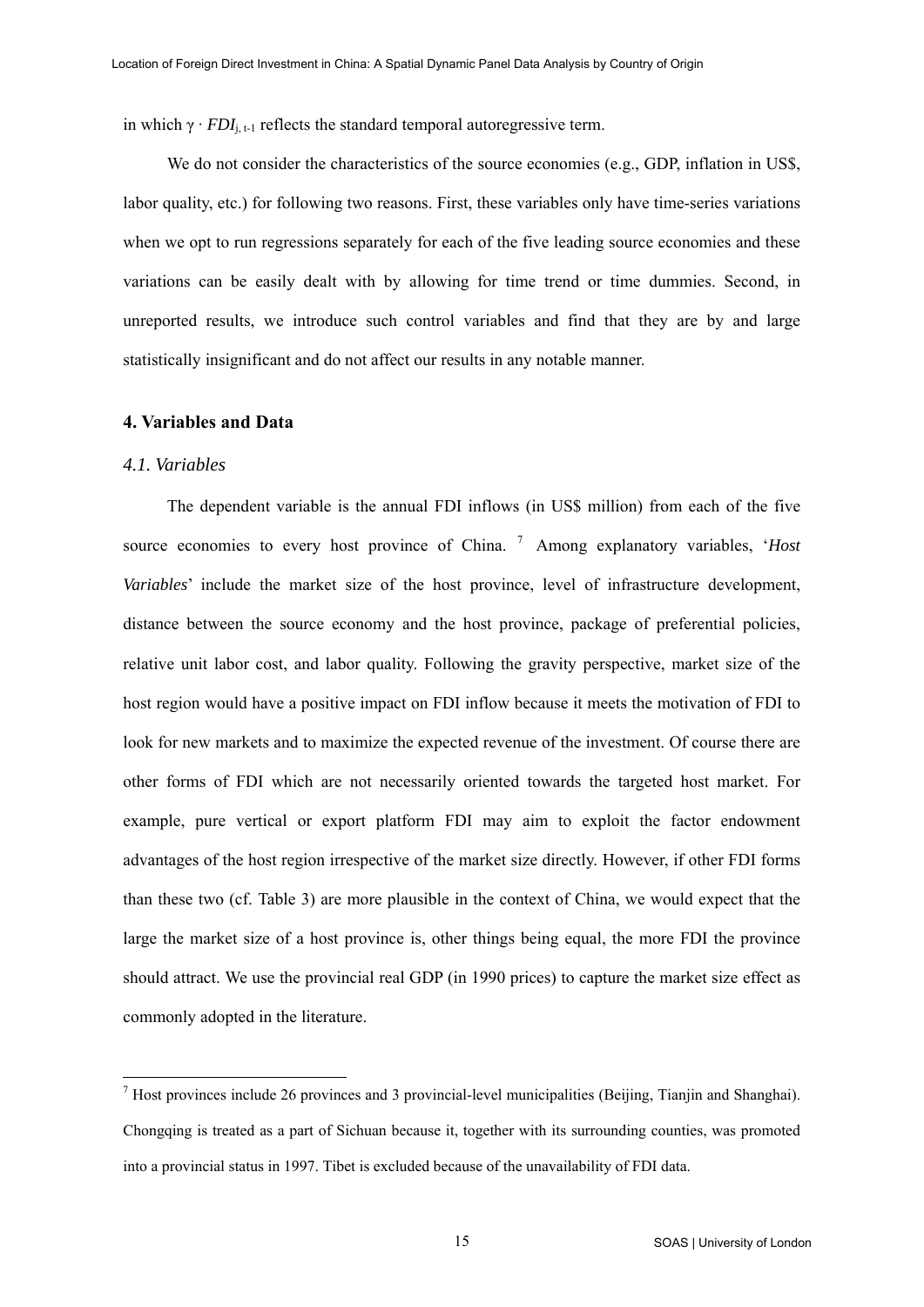<span id="page-15-0"></span>in which  $\gamma \cdot FDI_{i,t-1}$  reflects the standard temporal autoregressive term.

We do not consider the characteristics of the source economies (e.g., GDP, inflation in US\$, labor quality, etc.) for following two reasons. First, these variables only have time-series variations when we opt to run regressions separately for each of the five leading source economies and these variations can be easily dealt with by allowing for time trend or time dummies. Second, in unreported results, we introduce such control variables and find that they are by and large statistically insignificant and do not affect our results in any notable manner.

#### **4. Variables and Data**

#### *4.1. Variables*

The dependent variable is the annual FDI inflows (in US\$ million) from each of the five source economies to every host province of China.<sup>[7](#page-15-0)</sup> Among explanatory variables, '*Host Variables*' include the market size of the host province, level of infrastructure development, distance between the source economy and the host province, package of preferential policies, relative unit labor cost, and labor quality. Following the gravity perspective, market size of the host region would have a positive impact on FDI inflow because it meets the motivation of FDI to look for new markets and to maximize the expected revenue of the investment. Of course there are other forms of FDI which are not necessarily oriented towards the targeted host market. For example, pure vertical or export platform FDI may aim to exploit the factor endowment advantages of the host region irrespective of the market size directly. However, if other FDI forms than these two (cf. Table 3) are more plausible in the context of China, we would expect that the large the market size of a host province is, other things being equal, the more FDI the province should attract. We use the provincial real GDP (in 1990 prices) to capture the market size effect as commonly adopted in the literature.

 $<sup>7</sup>$  Host provinces include 26 provinces and 3 provincial-level municipalities (Beijing, Tianjin and Shanghai).</sup> Chongqing is treated as a part of Sichuan because it, together with its surrounding counties, was promoted into a provincial status in 1997. Tibet is excluded because of the unavailability of FDI data.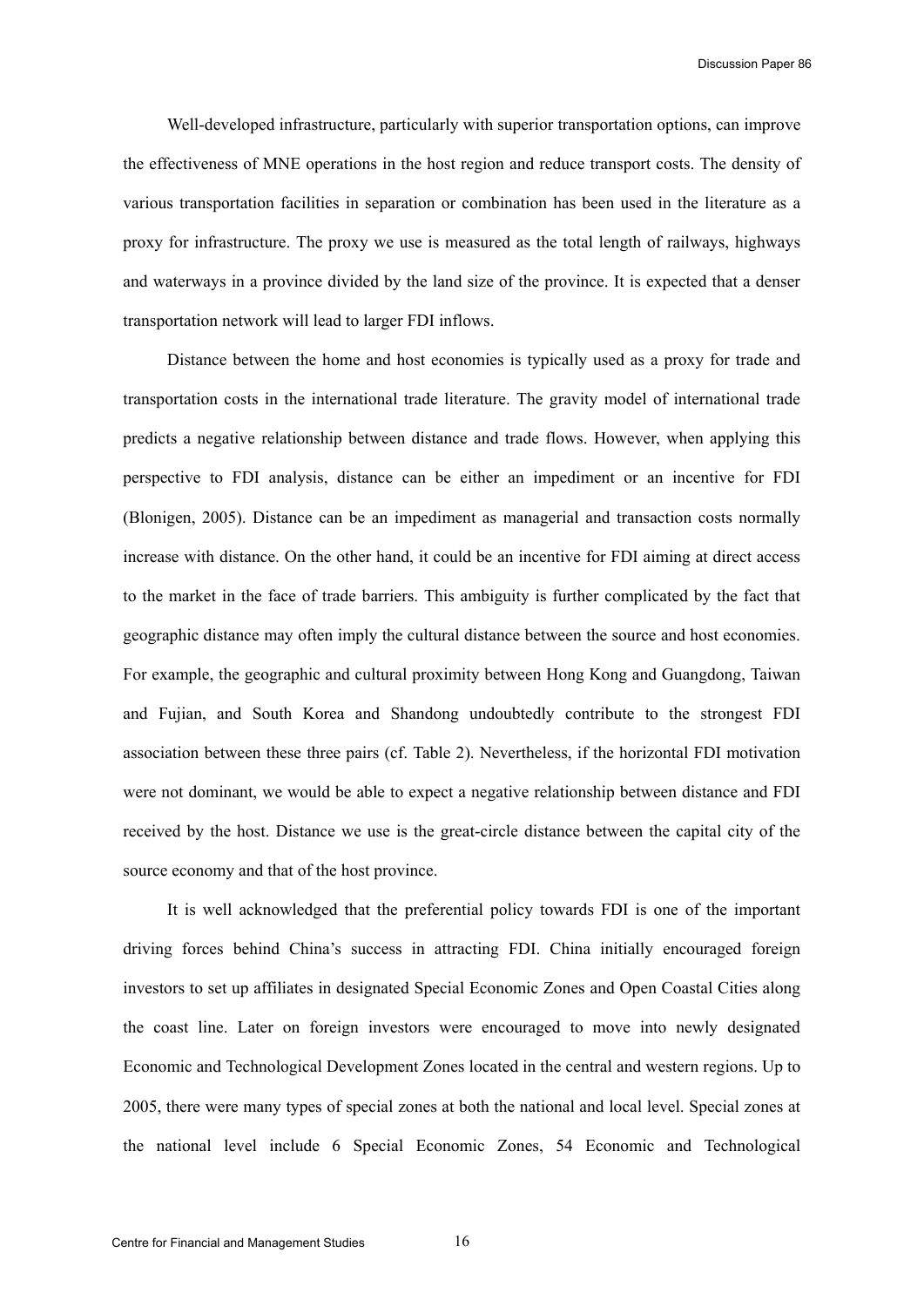Well-developed infrastructure, particularly with superior transportation options, can improve the effectiveness of MNE operations in the host region and reduce transport costs. The density of various transportation facilities in separation or combination has been used in the literature as a proxy for infrastructure. The proxy we use is measured as the total length of railways, highways and waterways in a province divided by the land size of the province. It is expected that a denser transportation network will lead to larger FDI inflows.

Distance between the home and host economies is typically used as a proxy for trade and transportation costs in the international trade literature. The gravity model of international trade predicts a negative relationship between distance and trade flows. However, when applying this perspective to FDI analysis, distance can be either an impediment or an incentive for FDI (Blonigen, 2005). Distance can be an impediment as managerial and transaction costs normally increase with distance. On the other hand, it could be an incentive for FDI aiming at direct access to the market in the face of trade barriers. This ambiguity is further complicated by the fact that geographic distance may often imply the cultural distance between the source and host economies. For example, the geographic and cultural proximity between Hong Kong and Guangdong, Taiwan and Fujian, and South Korea and Shandong undoubtedly contribute to the strongest FDI association between these three pairs (cf. Table 2). Nevertheless, if the horizontal FDI motivation were not dominant, we would be able to expect a negative relationship between distance and FDI received by the host. Distance we use is the great-circle distance between the capital city of the source economy and that of the host province.

It is well acknowledged that the preferential policy towards FDI is one of the important driving forces behind China's success in attracting FDI. China initially encouraged foreign investors to set up affiliates in designated Special Economic Zones and Open Coastal Cities along the coast line. Later on foreign investors were encouraged to move into newly designated Economic and Technological Development Zones located in the central and western regions. Up to 2005, there were many types of special zones at both the national and local level. Special zones at the national level include 6 Special Economic Zones, 54 Economic and Technological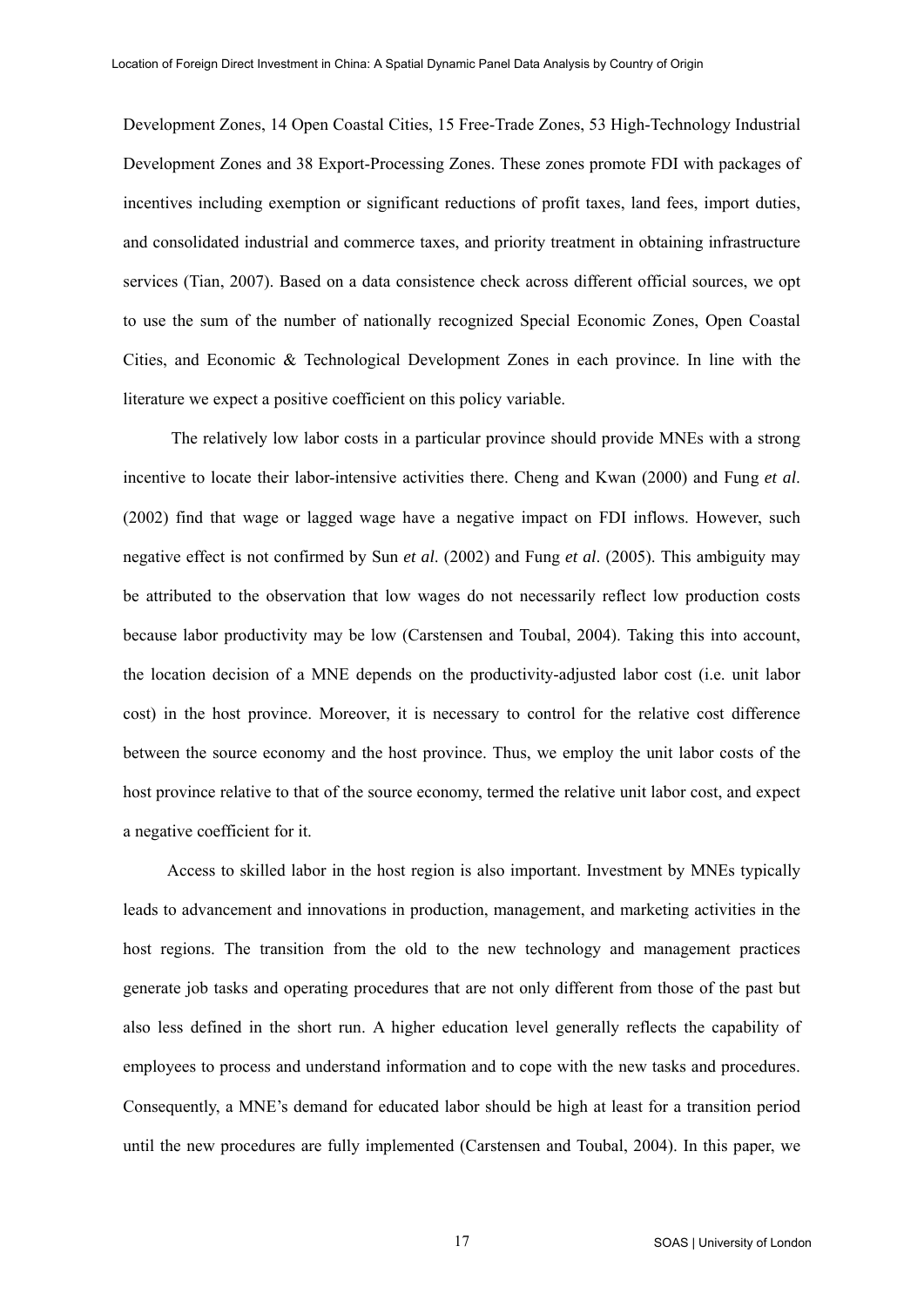Development Zones, 14 Open Coastal Cities, 15 Free-Trade Zones, 53 High-Technology Industrial Development Zones and 38 Export-Processing Zones. These zones promote FDI with packages of incentives including exemption or significant reductions of profit taxes, land fees, import duties, and consolidated industrial and commerce taxes, and priority treatment in obtaining infrastructure services (Tian, 2007). Based on a data consistence check across different official sources, we opt to use the sum of the number of nationally recognized Special Economic Zones, Open Coastal Cities, and Economic & Technological Development Zones in each province. In line with the literature we expect a positive coefficient on this policy variable.

 The relatively low labor costs in a particular province should provide MNEs with a strong incentive to locate their labor-intensive activities there. Cheng and Kwan (2000) and Fung *et al*. (2002) find that wage or lagged wage have a negative impact on FDI inflows. However, such negative effect is not confirmed by Sun *et al*. (2002) and Fung *et al*. (2005). This ambiguity may be attributed to the observation that low wages do not necessarily reflect low production costs because labor productivity may be low (Carstensen and Toubal, 2004). Taking this into account, the location decision of a MNE depends on the productivity-adjusted labor cost (i.e. unit labor cost) in the host province. Moreover, it is necessary to control for the relative cost difference between the source economy and the host province. Thus, we employ the unit labor costs of the host province relative to that of the source economy, termed the relative unit labor cost, and expect a negative coefficient for it.

Access to skilled labor in the host region is also important. Investment by MNEs typically leads to advancement and innovations in production, management, and marketing activities in the host regions. The transition from the old to the new technology and management practices generate job tasks and operating procedures that are not only different from those of the past but also less defined in the short run. A higher education level generally reflects the capability of employees to process and understand information and to cope with the new tasks and procedures. Consequently, a MNE's demand for educated labor should be high at least for a transition period until the new procedures are fully implemented (Carstensen and Toubal, 2004). In this paper, we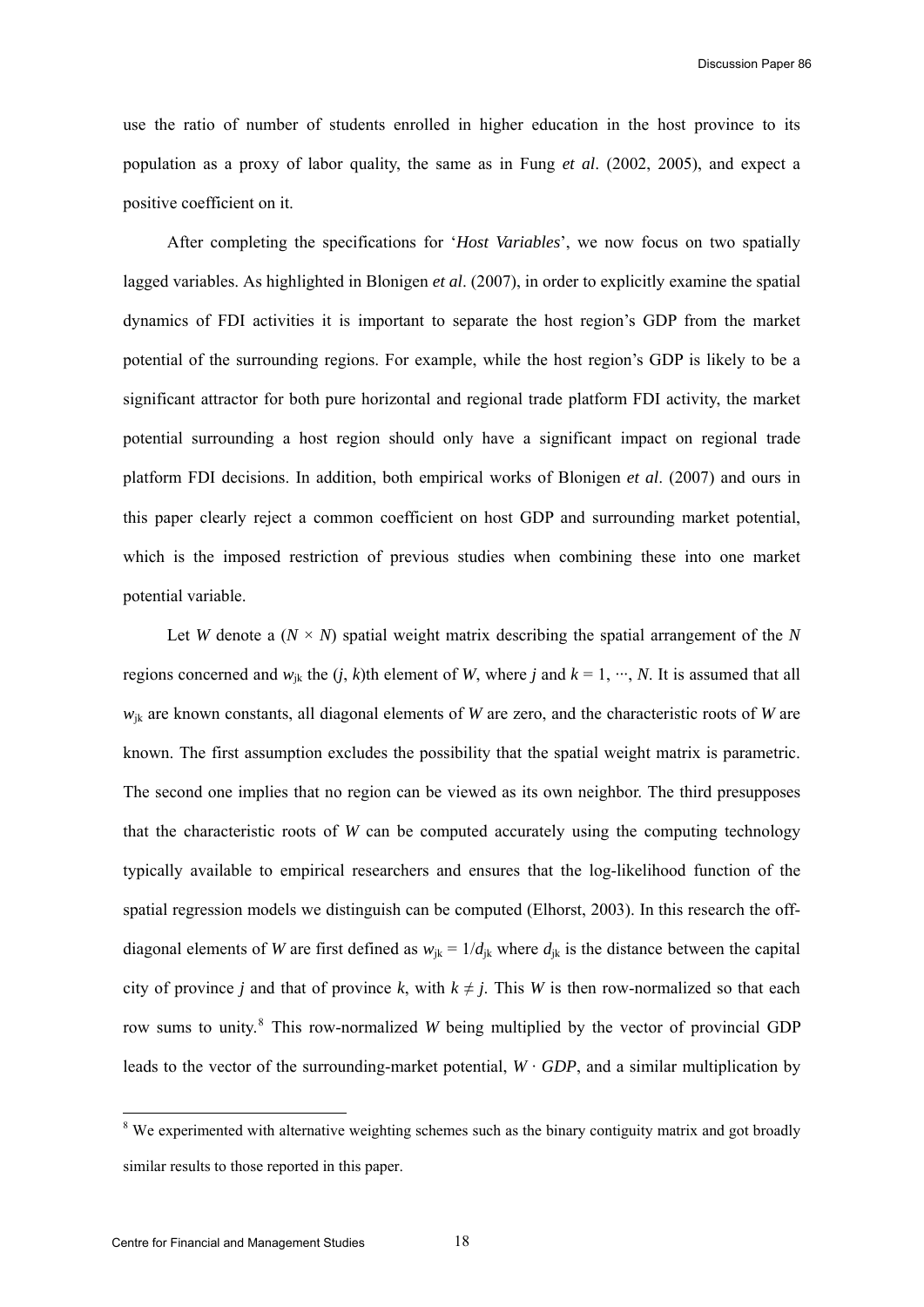<span id="page-18-0"></span>use the ratio of number of students enrolled in higher education in the host province to its population as a proxy of labor quality, the same as in Fung *et al*. (2002, 2005), and expect a positive coefficient on it.

After completing the specifications for '*Host Variables*', we now focus on two spatially lagged variables. As highlighted in Blonigen *et al*. (2007), in order to explicitly examine the spatial dynamics of FDI activities it is important to separate the host region's GDP from the market potential of the surrounding regions. For example, while the host region's GDP is likely to be a significant attractor for both pure horizontal and regional trade platform FDI activity, the market potential surrounding a host region should only have a significant impact on regional trade platform FDI decisions. In addition, both empirical works of Blonigen *et al*. (2007) and ours in this paper clearly reject a common coefficient on host GDP and surrounding market potential, which is the imposed restriction of previous studies when combining these into one market potential variable.

Let *W* denote a  $(N \times N)$  spatial weight matrix describing the spatial arrangement of the *N* regions concerned and  $w_{ik}$  the  $(i, k)$ th element of *W*, where *j* and  $k = 1, \dots, N$ . It is assumed that all  $w_{ik}$  are known constants, all diagonal elements of *W* are zero, and the characteristic roots of *W* are known. The first assumption excludes the possibility that the spatial weight matrix is parametric. The second one implies that no region can be viewed as its own neighbor. The third presupposes that the characteristic roots of *W* can be computed accurately using the computing technology typically available to empirical researchers and ensures that the log-likelihood function of the spatial regression models we distinguish can be computed (Elhorst, 2003). In this research the offdiagonal elements of *W* are first defined as  $w_{ik} = 1/d_{ik}$  where  $d_{ik}$  is the distance between the capital city of province *j* and that of province *k*, with  $k \neq j$ . This *W* is then row-normalized so that each row sums to unity.<sup>[8](#page-18-0)</sup> This row-normalized *W* being multiplied by the vector of provincial GDP leads to the vector of the surrounding-market potential,  $W \cdot GDP$ , and a similar multiplication by

l

<sup>&</sup>lt;sup>8</sup> We experimented with alternative weighting schemes such as the binary contiguity matrix and got broadly similar results to those reported in this paper.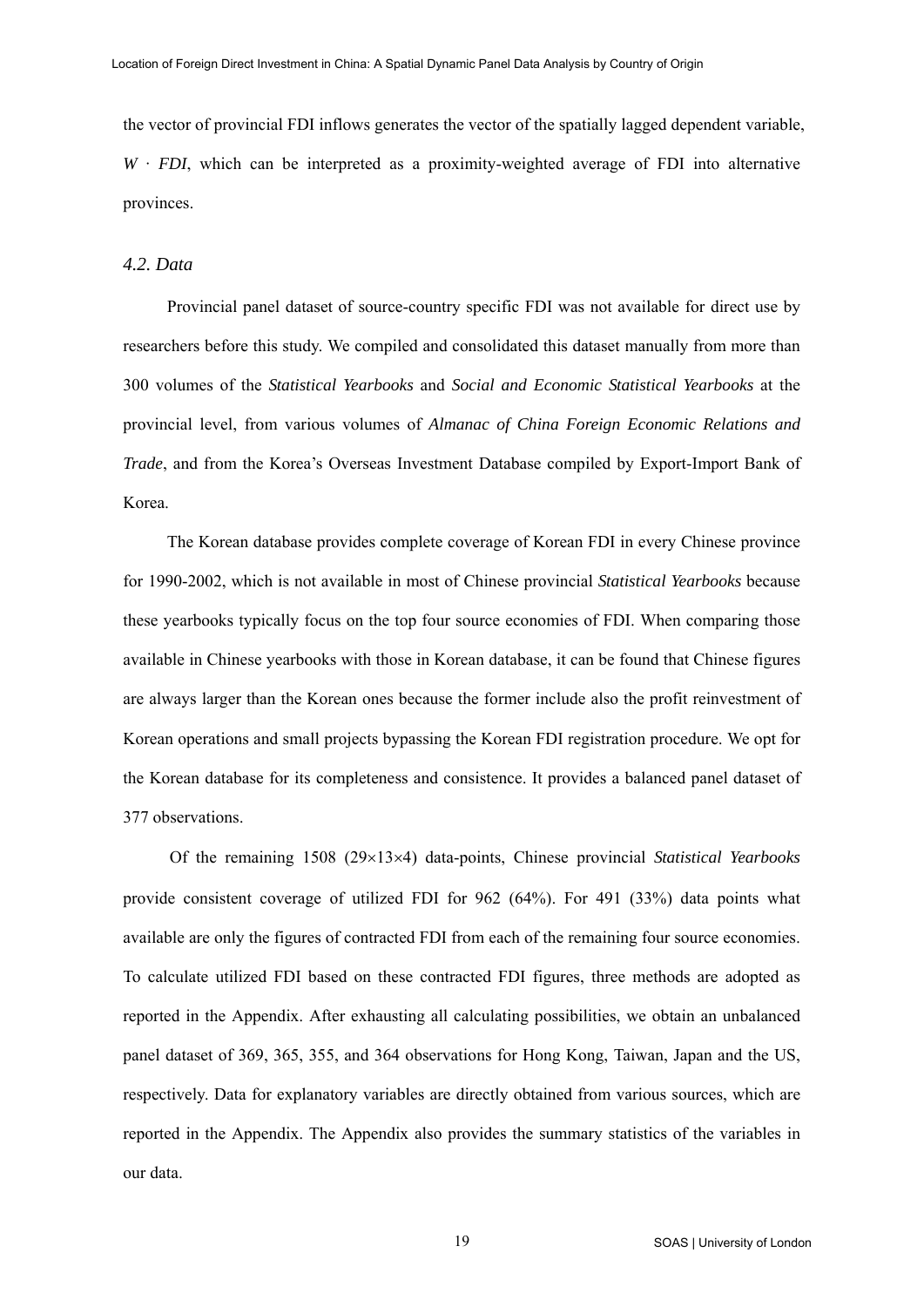the vector of provincial FDI inflows generates the vector of the spatially lagged dependent variable,  $W \cdot FDI$ , which can be interpreted as a proximity-weighted average of FDI into alternative provinces.

#### *4.2. Data*

Provincial panel dataset of source-country specific FDI was not available for direct use by researchers before this study. We compiled and consolidated this dataset manually from more than 300 volumes of the *Statistical Yearbooks* and *Social and Economic Statistical Yearbooks* at the provincial level, from various volumes of *Almanac of China Foreign Economic Relations and Trade*, and from the Korea's Overseas Investment Database compiled by Export-Import Bank of Korea.

The Korean database provides complete coverage of Korean FDI in every Chinese province for 1990-2002, which is not available in most of Chinese provincial *Statistical Yearbooks* because these yearbooks typically focus on the top four source economies of FDI. When comparing those available in Chinese yearbooks with those in Korean database, it can be found that Chinese figures are always larger than the Korean ones because the former include also the profit reinvestment of Korean operations and small projects bypassing the Korean FDI registration procedure. We opt for the Korean database for its completeness and consistence. It provides a balanced panel dataset of 377 observations.

Of the remaining 1508 (29×13×4) data-points, Chinese provincial *Statistical Yearbooks* provide consistent coverage of utilized FDI for 962 (64%). For 491 (33%) data points what available are only the figures of contracted FDI from each of the remaining four source economies. To calculate utilized FDI based on these contracted FDI figures, three methods are adopted as reported in the Appendix. After exhausting all calculating possibilities, we obtain an unbalanced panel dataset of 369, 365, 355, and 364 observations for Hong Kong, Taiwan, Japan and the US, respectively. Data for explanatory variables are directly obtained from various sources, which are reported in the Appendix. The Appendix also provides the summary statistics of the variables in our data.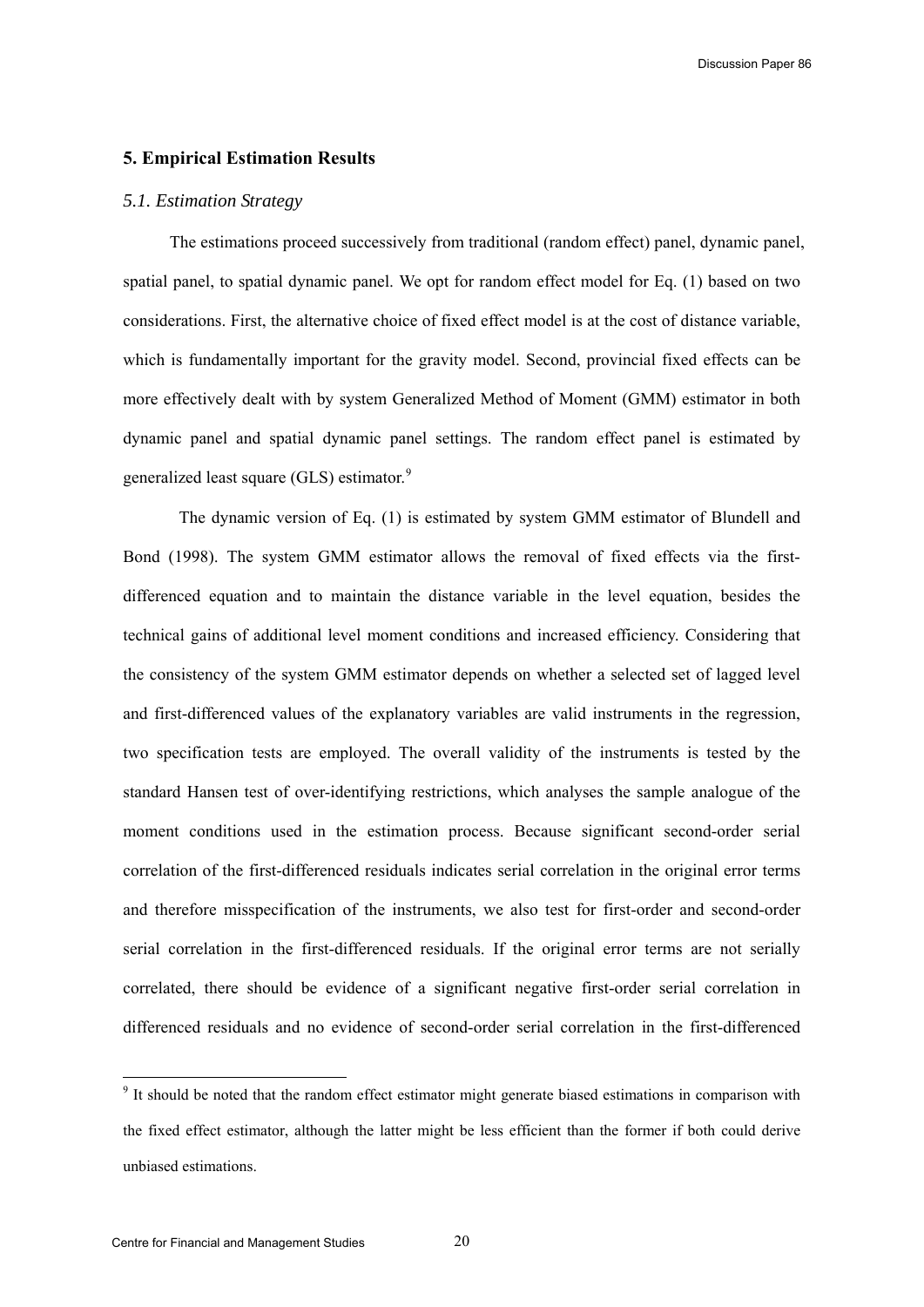# <span id="page-20-0"></span>**5. Empirical Estimation Results**

#### *5.1. Estimation Strategy*

The estimations proceed successively from traditional (random effect) panel, dynamic panel, spatial panel, to spatial dynamic panel. We opt for random effect model for Eq. (1) based on two considerations. First, the alternative choice of fixed effect model is at the cost of distance variable, which is fundamentally important for the gravity model. Second, provincial fixed effects can be more effectively dealt with by system Generalized Method of Moment (GMM) estimator in both dynamic panel and spatial dynamic panel settings. The random effect panel is estimated by generalized least square (GLS) estimator.<sup>[9](#page-20-0)</sup>

The dynamic version of Eq. (1) is estimated by system GMM estimator of Blundell and Bond (1998). The system GMM estimator allows the removal of fixed effects via the firstdifferenced equation and to maintain the distance variable in the level equation, besides the technical gains of additional level moment conditions and increased efficiency. Considering that the consistency of the system GMM estimator depends on whether a selected set of lagged level and first-differenced values of the explanatory variables are valid instruments in the regression, two specification tests are employed. The overall validity of the instruments is tested by the standard Hansen test of over-identifying restrictions, which analyses the sample analogue of the moment conditions used in the estimation process. Because significant second-order serial correlation of the first-differenced residuals indicates serial correlation in the original error terms and therefore misspecification of the instruments, we also test for first-order and second-order serial correlation in the first-differenced residuals. If the original error terms are not serially correlated, there should be evidence of a significant negative first-order serial correlation in differenced residuals and no evidence of second-order serial correlation in the first-differenced

<sup>&</sup>lt;sup>9</sup> It should be noted that the random effect estimator might generate biased estimations in comparison with the fixed effect estimator, although the latter might be less efficient than the former if both could derive unbiased estimations.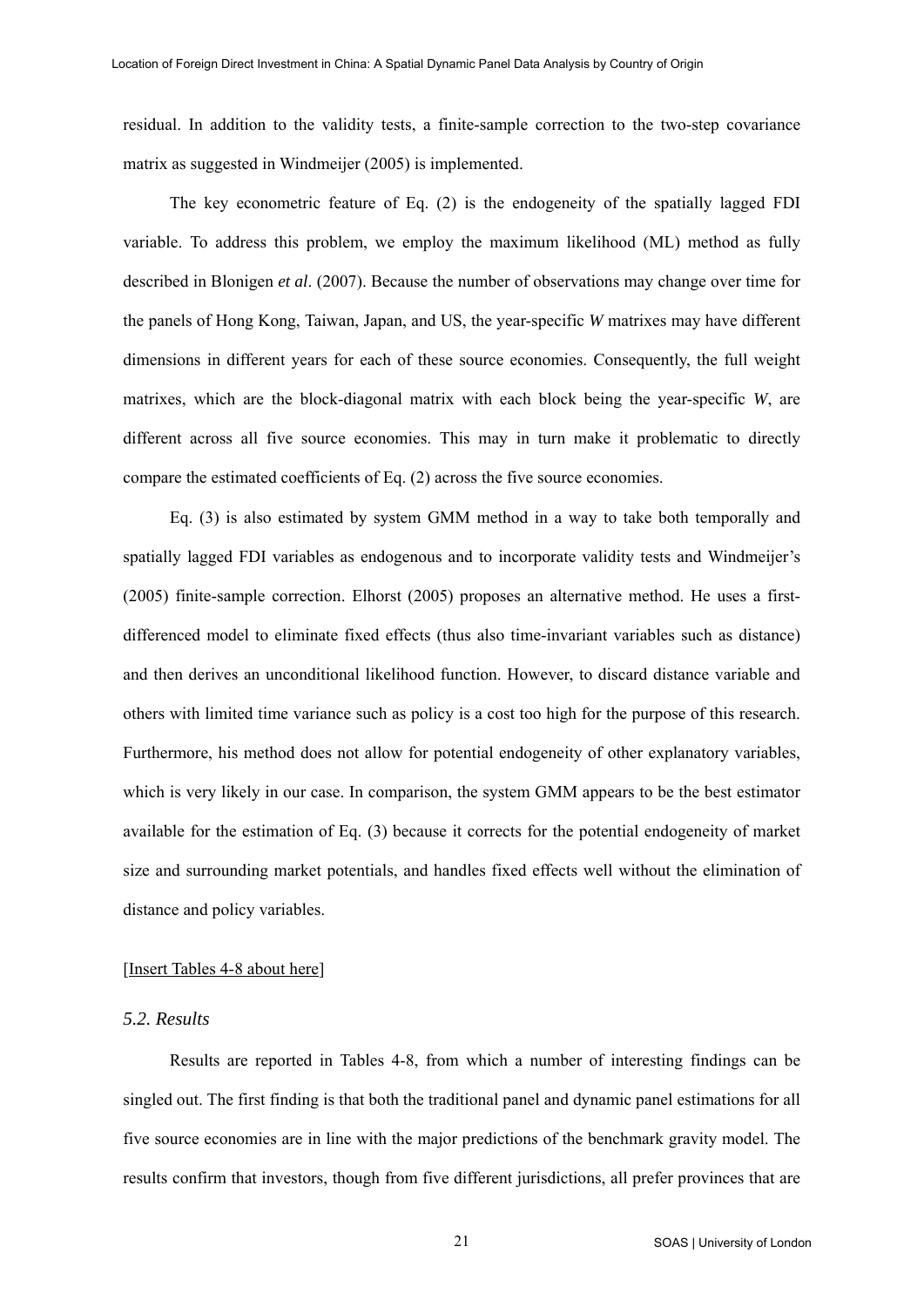residual. In addition to the validity tests, a finite-sample correction to the two-step covariance matrix as suggested in Windmeijer (2005) is implemented.

The key econometric feature of Eq. (2) is the endogeneity of the spatially lagged FDI variable. To address this problem, we employ the maximum likelihood (ML) method as fully described in Blonigen *et al*. (2007). Because the number of observations may change over time for the panels of Hong Kong, Taiwan, Japan, and US, the year-specific *W* matrixes may have different dimensions in different years for each of these source economies. Consequently, the full weight matrixes, which are the block-diagonal matrix with each block being the year-specific *W*, are different across all five source economies. This may in turn make it problematic to directly compare the estimated coefficients of Eq. (2) across the five source economies.

Eq. (3) is also estimated by system GMM method in a way to take both temporally and spatially lagged FDI variables as endogenous and to incorporate validity tests and Windmeijer's (2005) finite-sample correction. Elhorst (2005) proposes an alternative method. He uses a firstdifferenced model to eliminate fixed effects (thus also time-invariant variables such as distance) and then derives an unconditional likelihood function. However, to discard distance variable and others with limited time variance such as policy is a cost too high for the purpose of this research. Furthermore, his method does not allow for potential endogeneity of other explanatory variables, which is very likely in our case. In comparison, the system GMM appears to be the best estimator available for the estimation of Eq. (3) because it corrects for the potential endogeneity of market size and surrounding market potentials, and handles fixed effects well without the elimination of distance and policy variables.

#### [Insert Tables 4-8 about here]

## *5.2. Results*

Results are reported in Tables 4-8, from which a number of interesting findings can be singled out. The first finding is that both the traditional panel and dynamic panel estimations for all five source economies are in line with the major predictions of the benchmark gravity model. The results confirm that investors, though from five different jurisdictions, all prefer provinces that are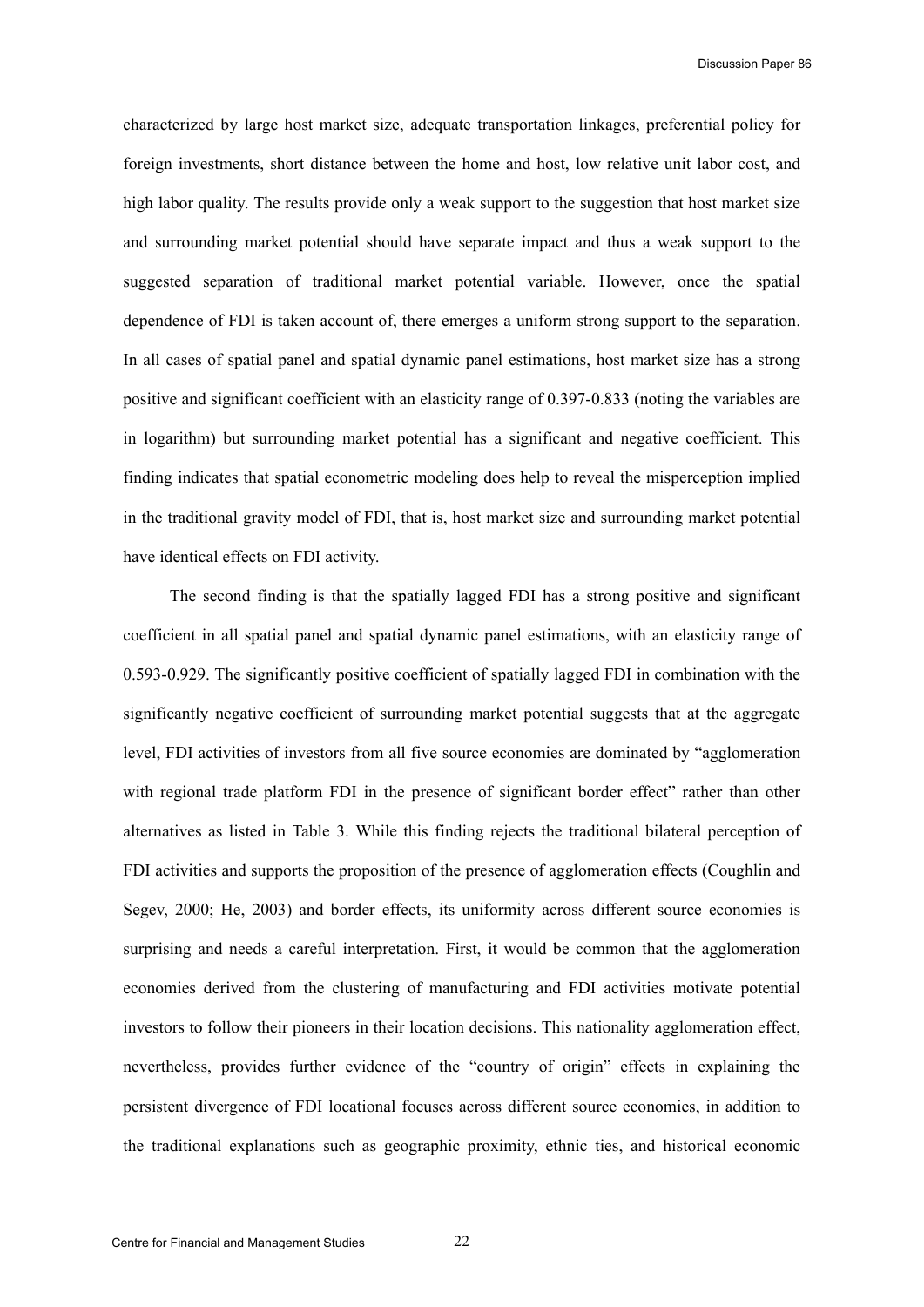characterized by large host market size, adequate transportation linkages, preferential policy for foreign investments, short distance between the home and host, low relative unit labor cost, and high labor quality. The results provide only a weak support to the suggestion that host market size and surrounding market potential should have separate impact and thus a weak support to the suggested separation of traditional market potential variable. However, once the spatial dependence of FDI is taken account of, there emerges a uniform strong support to the separation. In all cases of spatial panel and spatial dynamic panel estimations, host market size has a strong positive and significant coefficient with an elasticity range of 0.397-0.833 (noting the variables are in logarithm) but surrounding market potential has a significant and negative coefficient. This finding indicates that spatial econometric modeling does help to reveal the misperception implied in the traditional gravity model of FDI, that is, host market size and surrounding market potential have identical effects on FDI activity.

The second finding is that the spatially lagged FDI has a strong positive and significant coefficient in all spatial panel and spatial dynamic panel estimations, with an elasticity range of 0.593-0.929. The significantly positive coefficient of spatially lagged FDI in combination with the significantly negative coefficient of surrounding market potential suggests that at the aggregate level, FDI activities of investors from all five source economies are dominated by "agglomeration with regional trade platform FDI in the presence of significant border effect" rather than other alternatives as listed in Table 3. While this finding rejects the traditional bilateral perception of FDI activities and supports the proposition of the presence of agglomeration effects (Coughlin and Segev, 2000; He, 2003) and border effects, its uniformity across different source economies is surprising and needs a careful interpretation. First, it would be common that the agglomeration economies derived from the clustering of manufacturing and FDI activities motivate potential investors to follow their pioneers in their location decisions. This nationality agglomeration effect, nevertheless, provides further evidence of the "country of origin" effects in explaining the persistent divergence of FDI locational focuses across different source economies, in addition to the traditional explanations such as geographic proximity, ethnic ties, and historical economic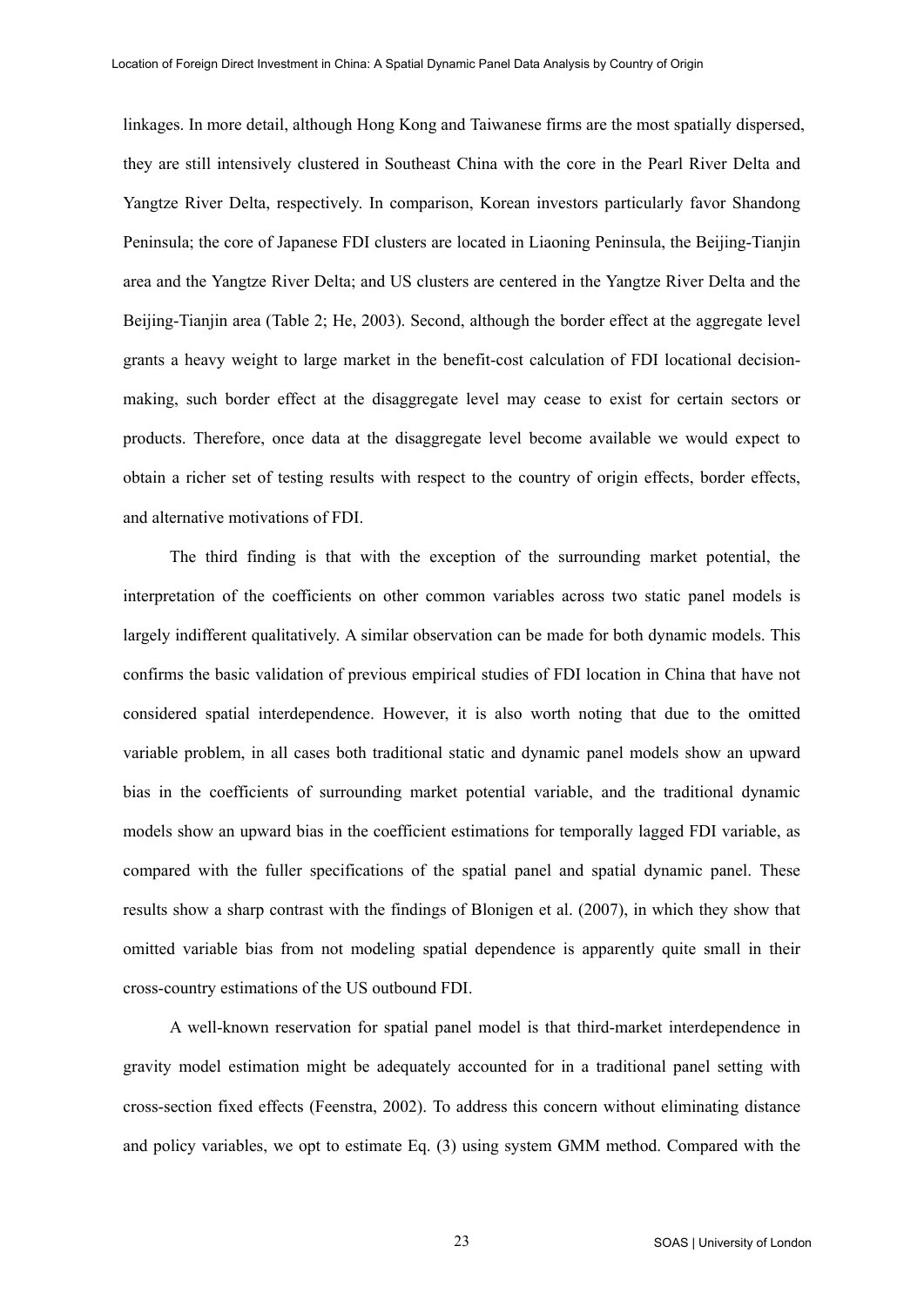linkages. In more detail, although Hong Kong and Taiwanese firms are the most spatially dispersed, they are still intensively clustered in Southeast China with the core in the Pearl River Delta and Yangtze River Delta, respectively. In comparison, Korean investors particularly favor Shandong Peninsula; the core of Japanese FDI clusters are located in Liaoning Peninsula, the Beijing-Tianjin area and the Yangtze River Delta; and US clusters are centered in the Yangtze River Delta and the Beijing-Tianjin area (Table 2; He, 2003). Second, although the border effect at the aggregate level grants a heavy weight to large market in the benefit-cost calculation of FDI locational decisionmaking, such border effect at the disaggregate level may cease to exist for certain sectors or products. Therefore, once data at the disaggregate level become available we would expect to obtain a richer set of testing results with respect to the country of origin effects, border effects, and alternative motivations of FDI.

The third finding is that with the exception of the surrounding market potential, the interpretation of the coefficients on other common variables across two static panel models is largely indifferent qualitatively. A similar observation can be made for both dynamic models. This confirms the basic validation of previous empirical studies of FDI location in China that have not considered spatial interdependence. However, it is also worth noting that due to the omitted variable problem, in all cases both traditional static and dynamic panel models show an upward bias in the coefficients of surrounding market potential variable, and the traditional dynamic models show an upward bias in the coefficient estimations for temporally lagged FDI variable, as compared with the fuller specifications of the spatial panel and spatial dynamic panel. These results show a sharp contrast with the findings of Blonigen et al. (2007), in which they show that omitted variable bias from not modeling spatial dependence is apparently quite small in their cross-country estimations of the US outbound FDI.

A well-known reservation for spatial panel model is that third-market interdependence in gravity model estimation might be adequately accounted for in a traditional panel setting with cross-section fixed effects (Feenstra, 2002). To address this concern without eliminating distance and policy variables, we opt to estimate Eq. (3) using system GMM method. Compared with the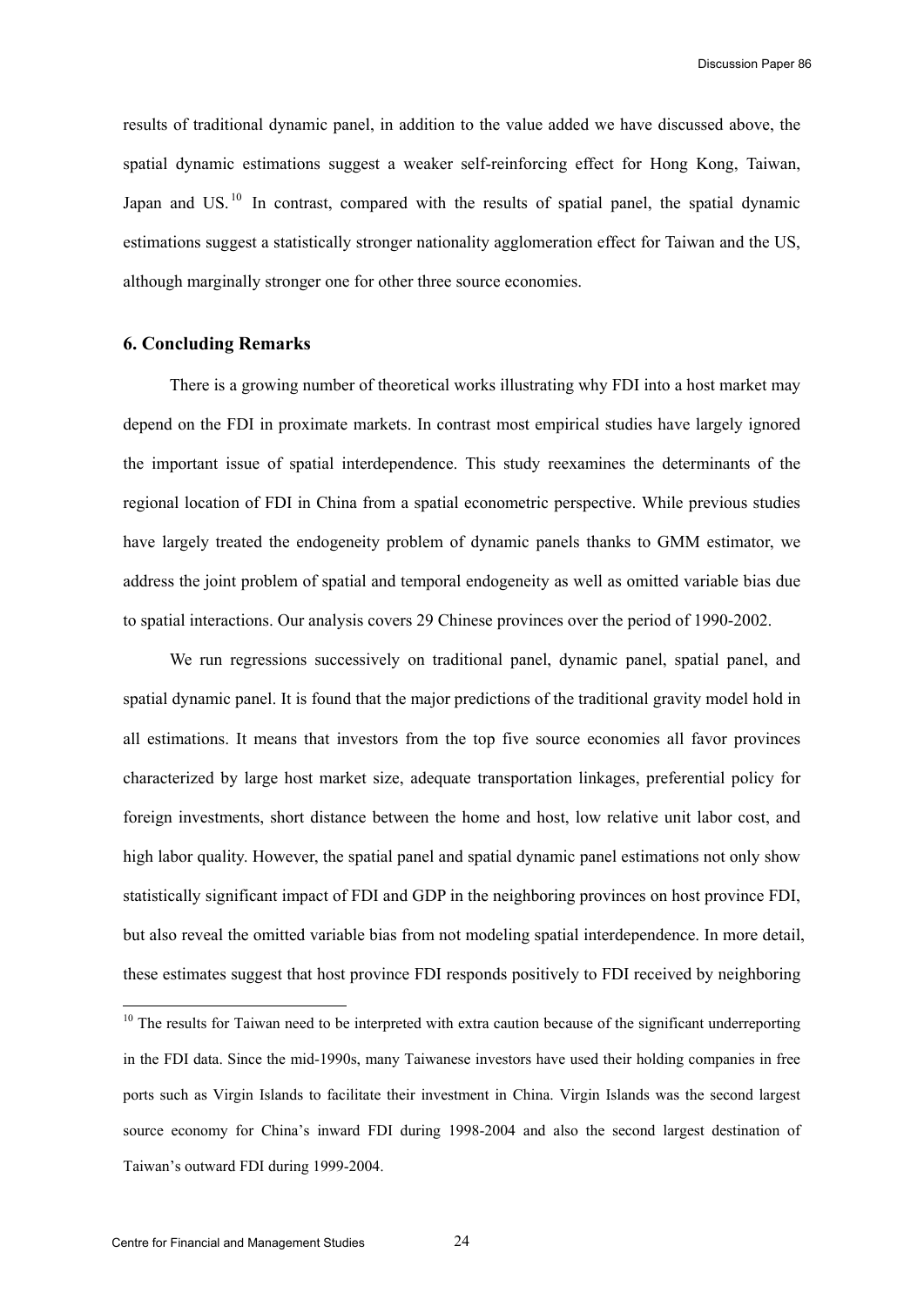<span id="page-24-0"></span>results of traditional dynamic panel, in addition to the value added we have discussed above, the spatial dynamic estimations suggest a weaker self-reinforcing effect for Hong Kong, Taiwan, Japan and US.<sup>[10](#page-24-0)</sup> In contrast, compared with the results of spatial panel, the spatial dynamic estimations suggest a statistically stronger nationality agglomeration effect for Taiwan and the US, although marginally stronger one for other three source economies.

# **6. Concluding Remarks**

There is a growing number of theoretical works illustrating why FDI into a host market may depend on the FDI in proximate markets. In contrast most empirical studies have largely ignored the important issue of spatial interdependence. This study reexamines the determinants of the regional location of FDI in China from a spatial econometric perspective. While previous studies have largely treated the endogeneity problem of dynamic panels thanks to GMM estimator, we address the joint problem of spatial and temporal endogeneity as well as omitted variable bias due to spatial interactions. Our analysis covers 29 Chinese provinces over the period of 1990-2002.

We run regressions successively on traditional panel, dynamic panel, spatial panel, and spatial dynamic panel. It is found that the major predictions of the traditional gravity model hold in all estimations. It means that investors from the top five source economies all favor provinces characterized by large host market size, adequate transportation linkages, preferential policy for foreign investments, short distance between the home and host, low relative unit labor cost, and high labor quality. However, the spatial panel and spatial dynamic panel estimations not only show statistically significant impact of FDI and GDP in the neighboring provinces on host province FDI, but also reveal the omitted variable bias from not modeling spatial interdependence. In more detail, these estimates suggest that host province FDI responds positively to FDI received by neighboring

l

<sup>&</sup>lt;sup>10</sup> The results for Taiwan need to be interpreted with extra caution because of the significant underreporting in the FDI data. Since the mid-1990s, many Taiwanese investors have used their holding companies in free ports such as Virgin Islands to facilitate their investment in China. Virgin Islands was the second largest source economy for China's inward FDI during 1998-2004 and also the second largest destination of Taiwan's outward FDI during 1999-2004.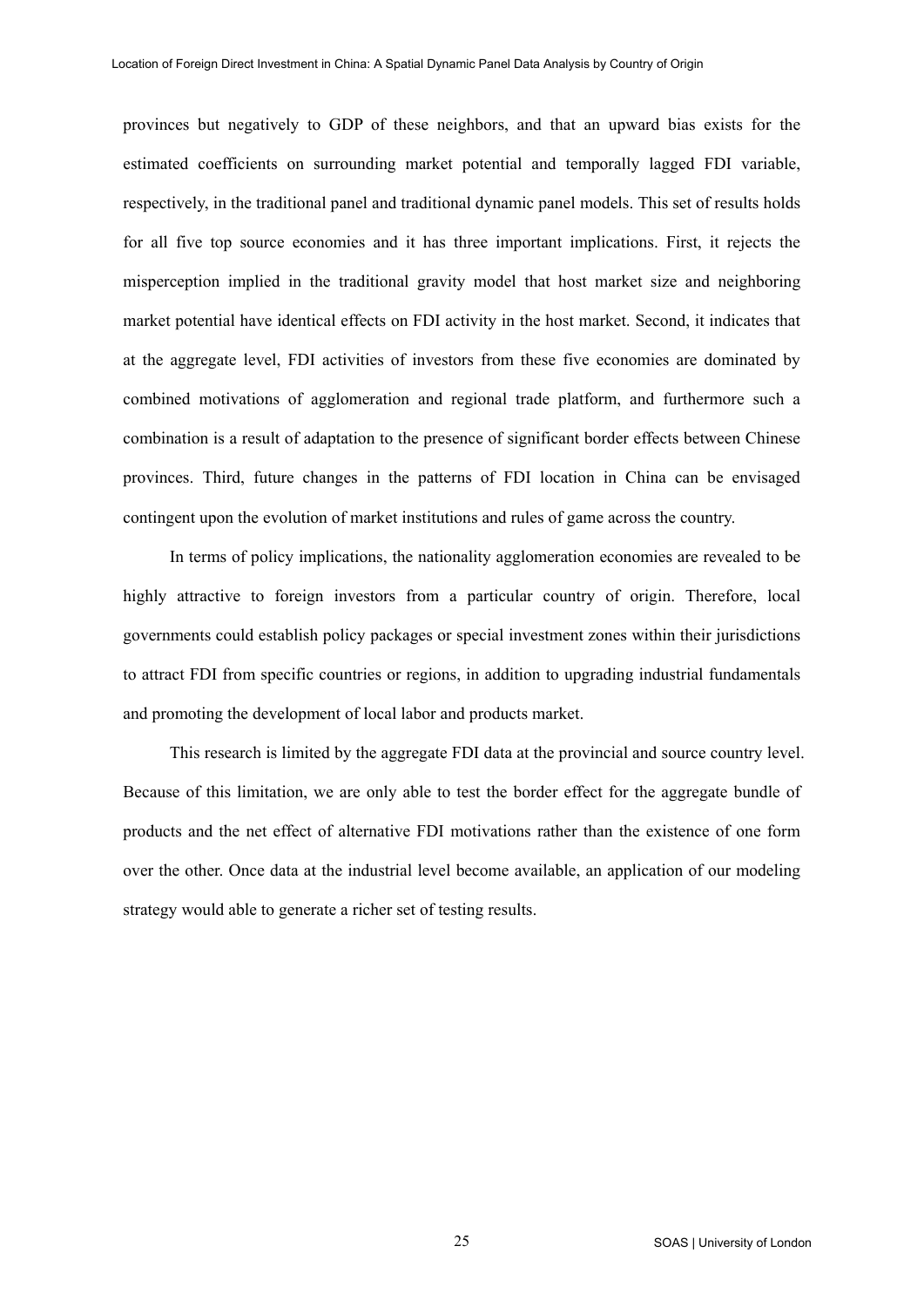provinces but negatively to GDP of these neighbors, and that an upward bias exists for the estimated coefficients on surrounding market potential and temporally lagged FDI variable, respectively, in the traditional panel and traditional dynamic panel models. This set of results holds for all five top source economies and it has three important implications. First, it rejects the misperception implied in the traditional gravity model that host market size and neighboring market potential have identical effects on FDI activity in the host market. Second, it indicates that at the aggregate level, FDI activities of investors from these five economies are dominated by combined motivations of agglomeration and regional trade platform, and furthermore such a combination is a result of adaptation to the presence of significant border effects between Chinese provinces. Third, future changes in the patterns of FDI location in China can be envisaged contingent upon the evolution of market institutions and rules of game across the country.

In terms of policy implications, the nationality agglomeration economies are revealed to be highly attractive to foreign investors from a particular country of origin. Therefore, local governments could establish policy packages or special investment zones within their jurisdictions to attract FDI from specific countries or regions, in addition to upgrading industrial fundamentals and promoting the development of local labor and products market.

This research is limited by the aggregate FDI data at the provincial and source country level. Because of this limitation, we are only able to test the border effect for the aggregate bundle of products and the net effect of alternative FDI motivations rather than the existence of one form over the other. Once data at the industrial level become available, an application of our modeling strategy would able to generate a richer set of testing results.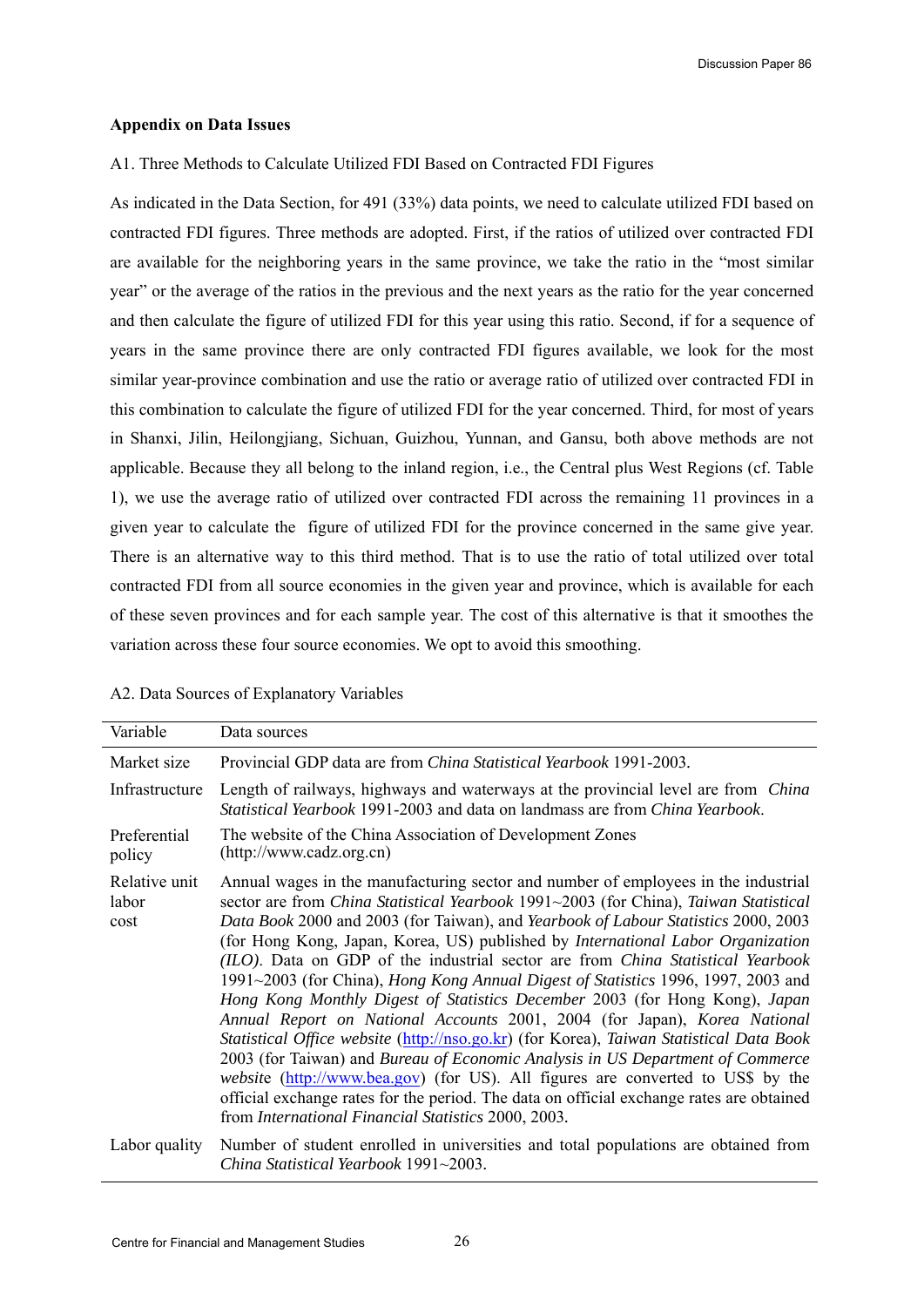#### **Appendix on Data Issues**

## A1. Three Methods to Calculate Utilized FDI Based on Contracted FDI Figures

As indicated in the Data Section, for 491 (33%) data points, we need to calculate utilized FDI based on contracted FDI figures. Three methods are adopted. First, if the ratios of utilized over contracted FDI are available for the neighboring years in the same province, we take the ratio in the "most similar year" or the average of the ratios in the previous and the next years as the ratio for the year concerned and then calculate the figure of utilized FDI for this year using this ratio. Second, if for a sequence of years in the same province there are only contracted FDI figures available, we look for the most similar year-province combination and use the ratio or average ratio of utilized over contracted FDI in this combination to calculate the figure of utilized FDI for the year concerned. Third, for most of years in Shanxi, Jilin, Heilongjiang, Sichuan, Guizhou, Yunnan, and Gansu, both above methods are not applicable. Because they all belong to the inland region, i.e., the Central plus West Regions (cf. Table 1), we use the average ratio of utilized over contracted FDI across the remaining 11 provinces in a given year to calculate the figure of utilized FDI for the province concerned in the same give year. There is an alternative way to this third method. That is to use the ratio of total utilized over total contracted FDI from all source economies in the given year and province, which is available for each of these seven provinces and for each sample year. The cost of this alternative is that it smoothes the variation across these four source economies. We opt to avoid this smoothing.

|  | A2. Data Sources of Explanatory Variables |  |  |  |  |
|--|-------------------------------------------|--|--|--|--|
|  |                                           |  |  |  |  |

| Variable                       | Data sources                                                                                                                                                                                                                                                                                                                                                                                                                                                                                                                                                                                                                                                                                                                                                                                                                                                                                                                                                                                                                                                                                                                                  |
|--------------------------------|-----------------------------------------------------------------------------------------------------------------------------------------------------------------------------------------------------------------------------------------------------------------------------------------------------------------------------------------------------------------------------------------------------------------------------------------------------------------------------------------------------------------------------------------------------------------------------------------------------------------------------------------------------------------------------------------------------------------------------------------------------------------------------------------------------------------------------------------------------------------------------------------------------------------------------------------------------------------------------------------------------------------------------------------------------------------------------------------------------------------------------------------------|
| Market size                    | Provincial GDP data are from <i>China Statistical Yearbook</i> 1991-2003.                                                                                                                                                                                                                                                                                                                                                                                                                                                                                                                                                                                                                                                                                                                                                                                                                                                                                                                                                                                                                                                                     |
| Infrastructure                 | Length of railways, highways and waterways at the provincial level are from <i>China</i><br>Statistical Yearbook 1991-2003 and data on landmass are from China Yearbook.                                                                                                                                                                                                                                                                                                                                                                                                                                                                                                                                                                                                                                                                                                                                                                                                                                                                                                                                                                      |
| Preferential<br>policy         | The website of the China Association of Development Zones<br>(http://www.cadz.org cn)                                                                                                                                                                                                                                                                                                                                                                                                                                                                                                                                                                                                                                                                                                                                                                                                                                                                                                                                                                                                                                                         |
| Relative unit<br>labor<br>cost | Annual wages in the manufacturing sector and number of employees in the industrial<br>sector are from <i>China Statistical Yearbook</i> 1991~2003 (for China), <i>Taiwan Statistical</i><br>Data Book 2000 and 2003 (for Taiwan), and Yearbook of Labour Statistics 2000, 2003<br>(for Hong Kong, Japan, Korea, US) published by <i>International Labor Organization</i><br>(ILO). Data on GDP of the industrial sector are from China Statistical Yearbook<br>1991~2003 (for China), <i>Hong Kong Annual Digest of Statistics</i> 1996, 1997, 2003 and<br>Hong Kong Monthly Digest of Statistics December 2003 (for Hong Kong), Japan<br>Annual Report on National Accounts 2001, 2004 (for Japan), Korea National<br>Statistical Office website (http://nso.go.kr) (for Korea), Taiwan Statistical Data Book<br>2003 (for Taiwan) and Bureau of Economic Analysis in US Department of Commerce<br><i>website</i> (http://www.bea.gov) (for US). All figures are converted to US\$ by the<br>official exchange rates for the period. The data on official exchange rates are obtained<br>from International Financial Statistics 2000, 2003. |
| Labor quality                  | Number of student enrolled in universities and total populations are obtained from<br>China Statistical Yearbook 1991~2003.                                                                                                                                                                                                                                                                                                                                                                                                                                                                                                                                                                                                                                                                                                                                                                                                                                                                                                                                                                                                                   |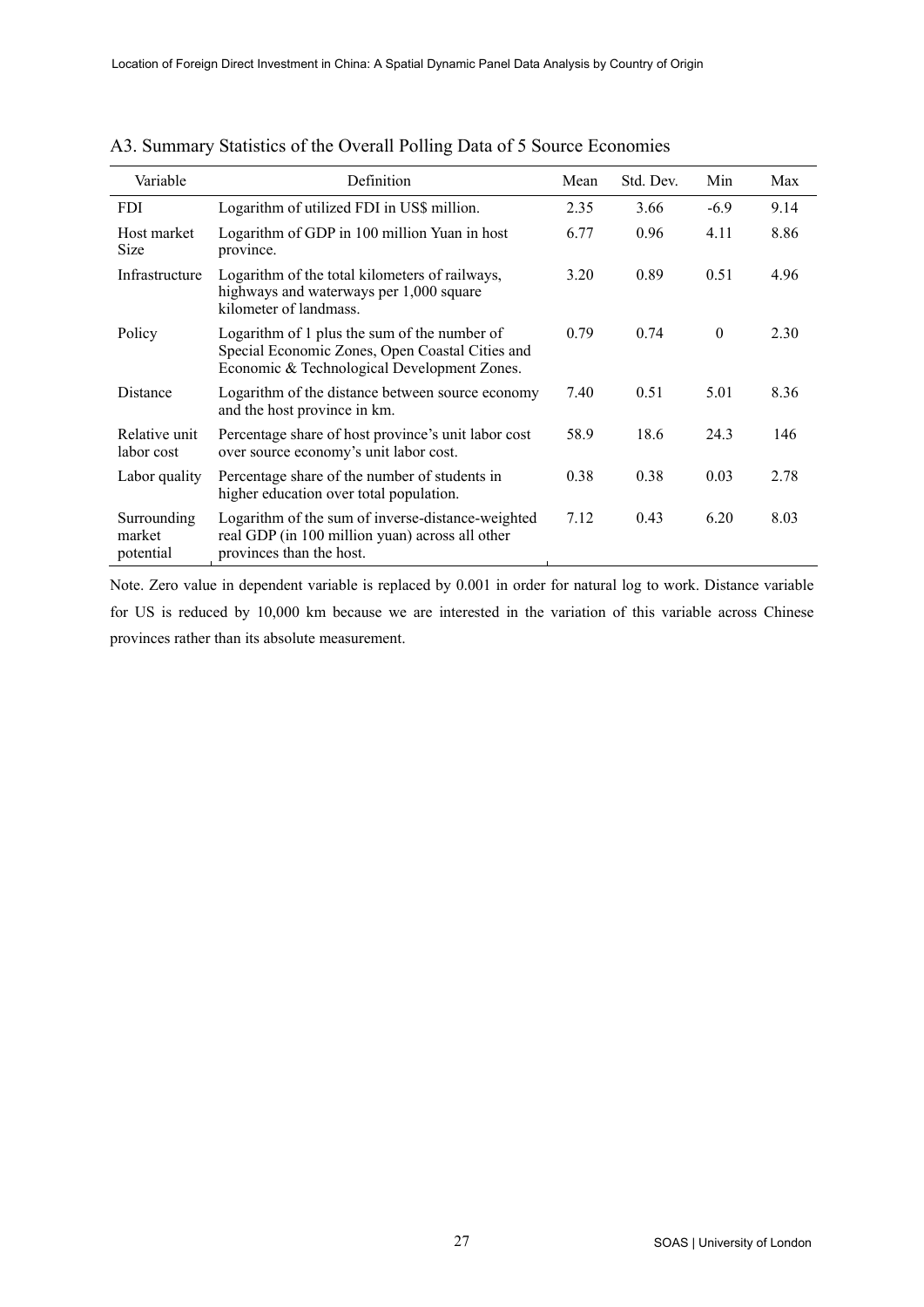| Variable                           | Definition                                                                                                                                     | Mean | Std. Dev. | Min      | Max  |
|------------------------------------|------------------------------------------------------------------------------------------------------------------------------------------------|------|-----------|----------|------|
| <b>FDI</b>                         | Logarithm of utilized FDI in US\$ million.                                                                                                     | 2.35 | 3.66      | $-6.9$   | 9.14 |
| Host market<br><b>Size</b>         | Logarithm of GDP in 100 million Yuan in host<br>province.                                                                                      | 6.77 | 0.96      | 4.11     | 8.86 |
| Infrastructure                     | Logarithm of the total kilometers of railways,<br>highways and waterways per 1,000 square<br>kilometer of landmass.                            | 3.20 | 0.89      | 0.51     | 4.96 |
| Policy                             | Logarithm of 1 plus the sum of the number of<br>Special Economic Zones, Open Coastal Cities and<br>Economic & Technological Development Zones. | 0.79 | 0.74      | $\theta$ | 2.30 |
| Distance                           | Logarithm of the distance between source economy<br>and the host province in km.                                                               | 7.40 | 0.51      | 5.01     | 8.36 |
| Relative unit<br>labor cost        | Percentage share of host province's unit labor cost<br>over source economy's unit labor cost.                                                  | 58.9 | 18.6      | 24.3     | 146  |
| Labor quality                      | Percentage share of the number of students in<br>higher education over total population.                                                       | 0.38 | 0.38      | 0.03     | 2.78 |
| Surrounding<br>market<br>potential | Logarithm of the sum of inverse-distance-weighted<br>real GDP (in 100 million yuan) across all other<br>provinces than the host.               | 7.12 | 0.43      | 6.20     | 8.03 |

| A3. Summary Statistics of the Overall Polling Data of 5 Source Economies |
|--------------------------------------------------------------------------|
|--------------------------------------------------------------------------|

Note. Zero value in dependent variable is replaced by 0.001 in order for natural log to work. Distance variable for US is reduced by 10,000 km because we are interested in the variation of this variable across Chinese provinces rather than its absolute measurement.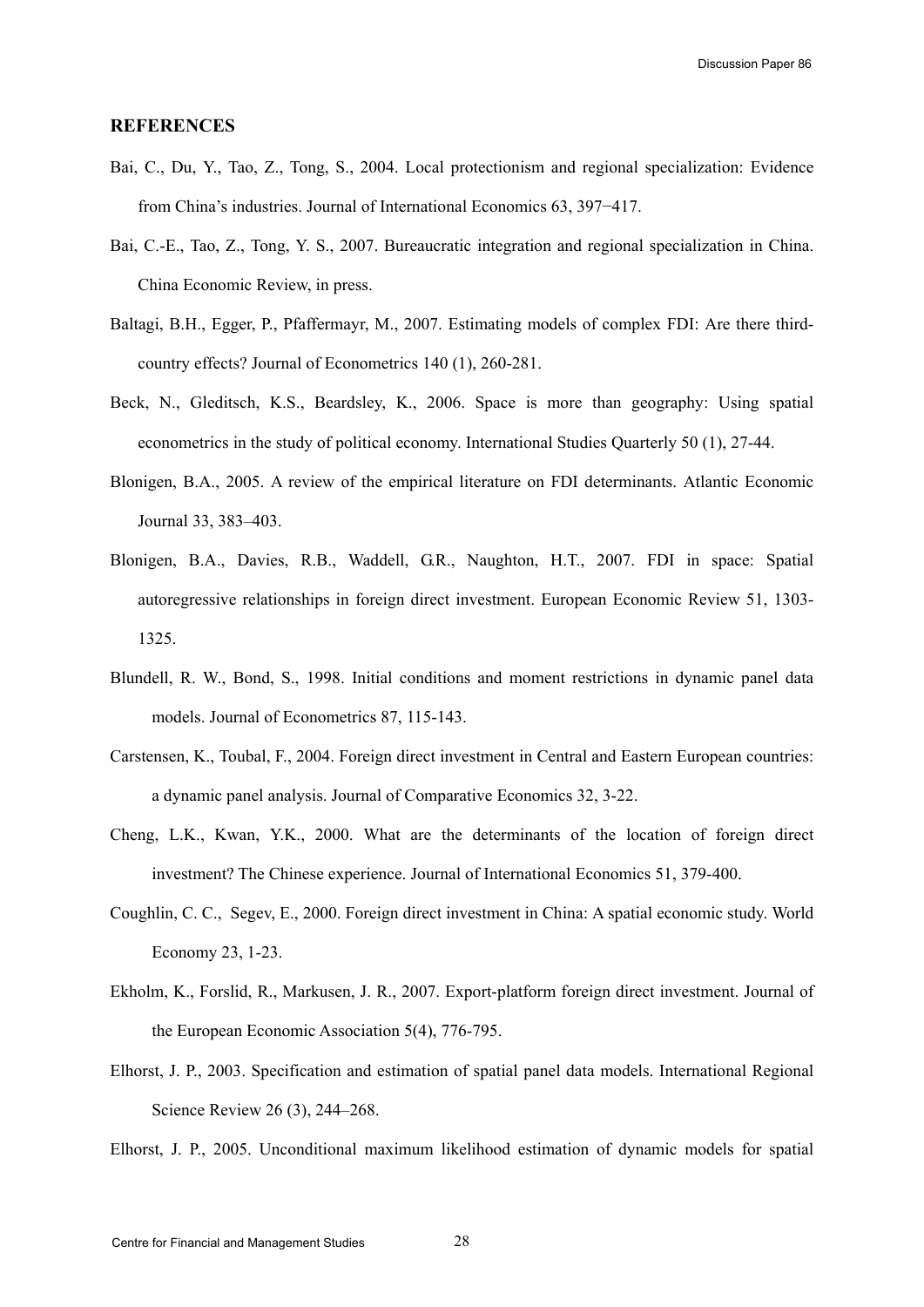#### **REFERENCES**

- Bai, C., Du, Y., Tao, Z., Tong, S., 2004. Local protectionism and regional specialization: Evidence from China's industries. Journal of International Economics 63, 397−417.
- Bai, C.-E., Tao, Z., Tong, Y. S., 2007. Bureaucratic integration and regional specialization in China. China Economic Review, in press.
- Baltagi, B.H., Egger, P., Pfaffermayr, M., 2007. Estimating models of complex FDI: Are there thirdcountry effects? Journal of Econometrics 140 (1), 260-281.
- Beck, N., Gleditsch, K.S., Beardsley, K., 2006. Space is more than geography: Using spatial econometrics in the study of political economy. International Studies Quarterly 50 (1), 27-44.
- Blonigen, B.A., 2005. A review of the empirical literature on FDI determinants. Atlantic Economic Journal 33, 383–403.
- Blonigen, B.A., Davies, R.B., Waddell, G.R., Naughton, H.T., 2007. FDI in space: Spatial autoregressive relationships in foreign direct investment. European Economic Review 51, 1303- 1325.
- Blundell, R. W., Bond, S., 1998. Initial conditions and moment restrictions in dynamic panel data models. Journal of Econometrics 87, 115-143.
- Carstensen, K., Toubal, F., 2004. Foreign direct investment in Central and Eastern European countries: a dynamic panel analysis. Journal of Comparative Economics 32, 3-22.
- Cheng, L.K., Kwan, Y.K., 2000. What are the determinants of the location of foreign direct investment? The Chinese experience. Journal of International Economics 51, 379-400.
- Coughlin, C. C., Segev, E., 2000. Foreign direct investment in China: A spatial economic study. World Economy 23, 1-23.
- Ekholm, K., Forslid, R., Markusen, J. R., 2007. Export-platform foreign direct investment. Journal of the European Economic Association 5(4), 776-795.
- Elhorst, J. P., 2003. Specification and estimation of spatial panel data models. International Regional Science Review 26 (3), 244–268.
- Elhorst, J. P., 2005. Unconditional maximum likelihood estimation of dynamic models for spatial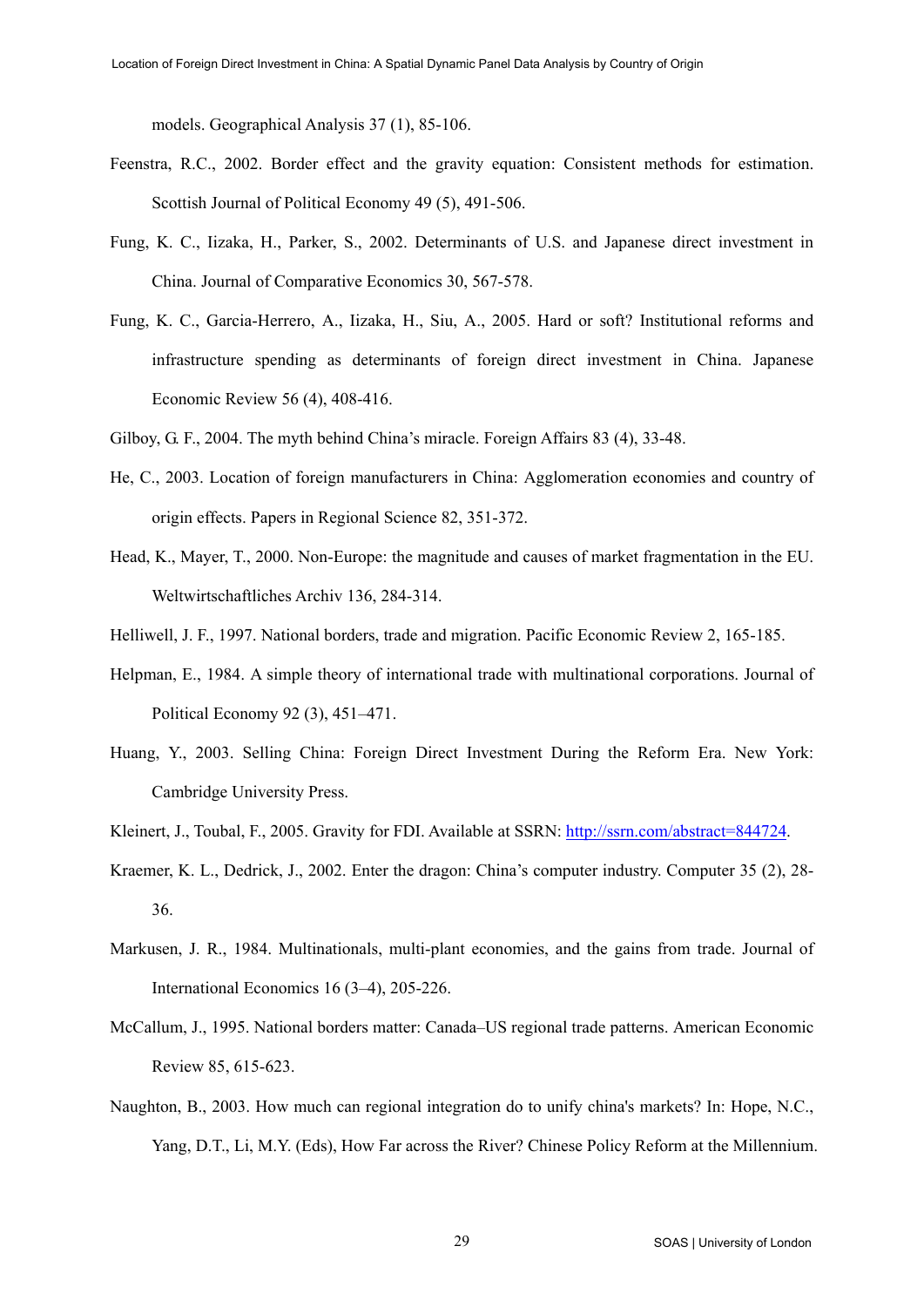models. Geographical Analysis 37 (1), 85-106.

- Feenstra, R.C., 2002. Border effect and the gravity equation: Consistent methods for estimation. Scottish Journal of Political Economy 49 (5), 491-506.
- Fung, K. C., Iizaka, H., Parker, S., 2002. Determinants of U.S. and Japanese direct investment in China. Journal of Comparative Economics 30, 567-578.
- Fung, K. C., Garcia-Herrero, A., Iizaka, H., Siu, A., 2005. Hard or soft? Institutional reforms and infrastructure spending as determinants of foreign direct investment in China. Japanese Economic Review 56 (4), 408-416.
- Gilboy, G. F., 2004. The myth behind China's miracle. Foreign Affairs 83 (4), 33-48.
- He, C., 2003. Location of foreign manufacturers in China: Agglomeration economies and country of origin effects. Papers in Regional Science 82, 351-372.
- Head, K., Mayer, T., 2000. Non-Europe: the magnitude and causes of market fragmentation in the EU. Weltwirtschaftliches Archiv 136, 284-314.
- Helliwell, J. F., 1997. National borders, trade and migration. Pacific Economic Review 2, 165-185.
- Helpman, E., 1984. A simple theory of international trade with multinational corporations. Journal of Political Economy 92 (3), 451–471.
- Huang, Y., 2003. Selling China: Foreign Direct Investment During the Reform Era. New York: Cambridge University Press.
- Kleinert, J., Toubal, F., 2005. Gravity for FDI. Available at SSRN: [http://ssrn.com/abstract=844724.](http://ssrn.com/abstract=844724)
- Kraemer, K. L., Dedrick, J., 2002. Enter the dragon: China's computer industry. Computer 35 (2), 28- 36.
- Markusen, J. R., 1984. Multinationals, multi-plant economies, and the gains from trade. Journal of International Economics 16 (3–4), 205-226.
- McCallum, J., 1995. National borders matter: Canada–US regional trade patterns. American Economic Review 85, 615-623.
- Naughton, B., 2003. How much can regional integration do to unify china's markets? In: Hope, N.C., Yang, D.T., Li, M.Y. (Eds), How Far across the River? Chinese Policy Reform at the Millennium.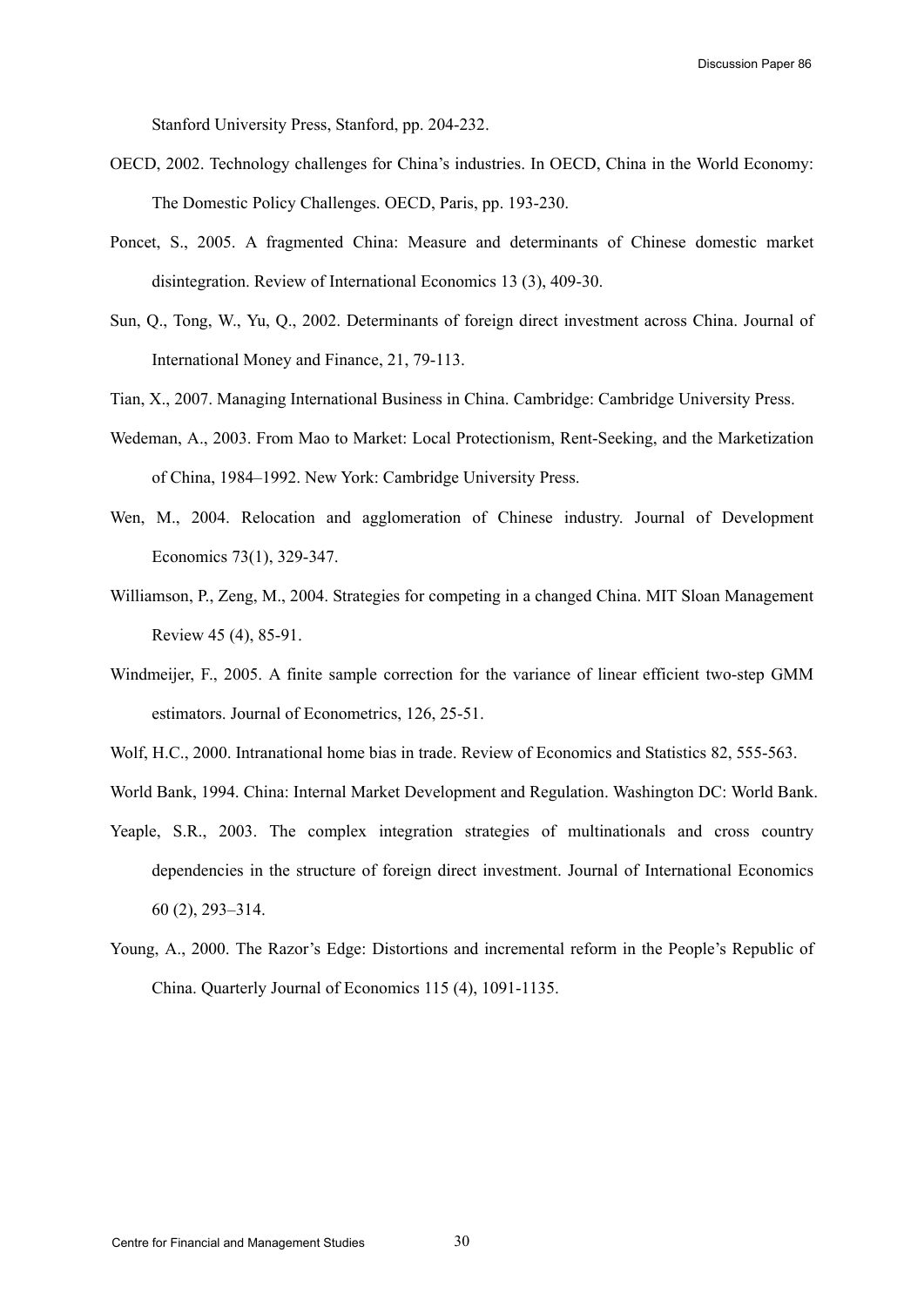Stanford University Press, Stanford, pp. 204-232.

- OECD, 2002. Technology challenges for China's industries. In OECD, China in the World Economy: The Domestic Policy Challenges. OECD, Paris, pp. 193-230.
- Poncet, S., 2005. A fragmented China: Measure and determinants of Chinese domestic market disintegration. Review of International Economics 13 (3), 409-30.
- Sun, Q., Tong, W., Yu, Q., 2002. Determinants of foreign direct investment across China. Journal of International Money and Finance, 21, 79-113.
- Tian, X., 2007. Managing International Business in China. Cambridge: Cambridge University Press.
- Wedeman, A., 2003. From Mao to Market: Local Protectionism, Rent-Seeking, and the Marketization of China, 1984–1992. New York: Cambridge University Press.
- Wen, M., 2004. Relocation and agglomeration of Chinese industry. Journal of Development Economics 73(1), 329-347.
- Williamson, P., Zeng, M., 2004. Strategies for competing in a changed China. MIT Sloan Management Review 45 (4), 85-91.
- Windmeijer, F., 2005. A finite sample correction for the variance of linear efficient two-step GMM estimators. Journal of Econometrics, 126, 25-51.
- Wolf, H.C., 2000. Intranational home bias in trade. Review of Economics and Statistics 82, 555-563.
- World Bank, 1994. China: Internal Market Development and Regulation. Washington DC: World Bank.
- Yeaple, S.R., 2003. The complex integration strategies of multinationals and cross country dependencies in the structure of foreign direct investment. Journal of International Economics 60 (2), 293–314.
- Young, A., 2000. The Razor's Edge: Distortions and incremental reform in the People's Republic of China. Quarterly Journal of Economics 115 (4), 1091-1135.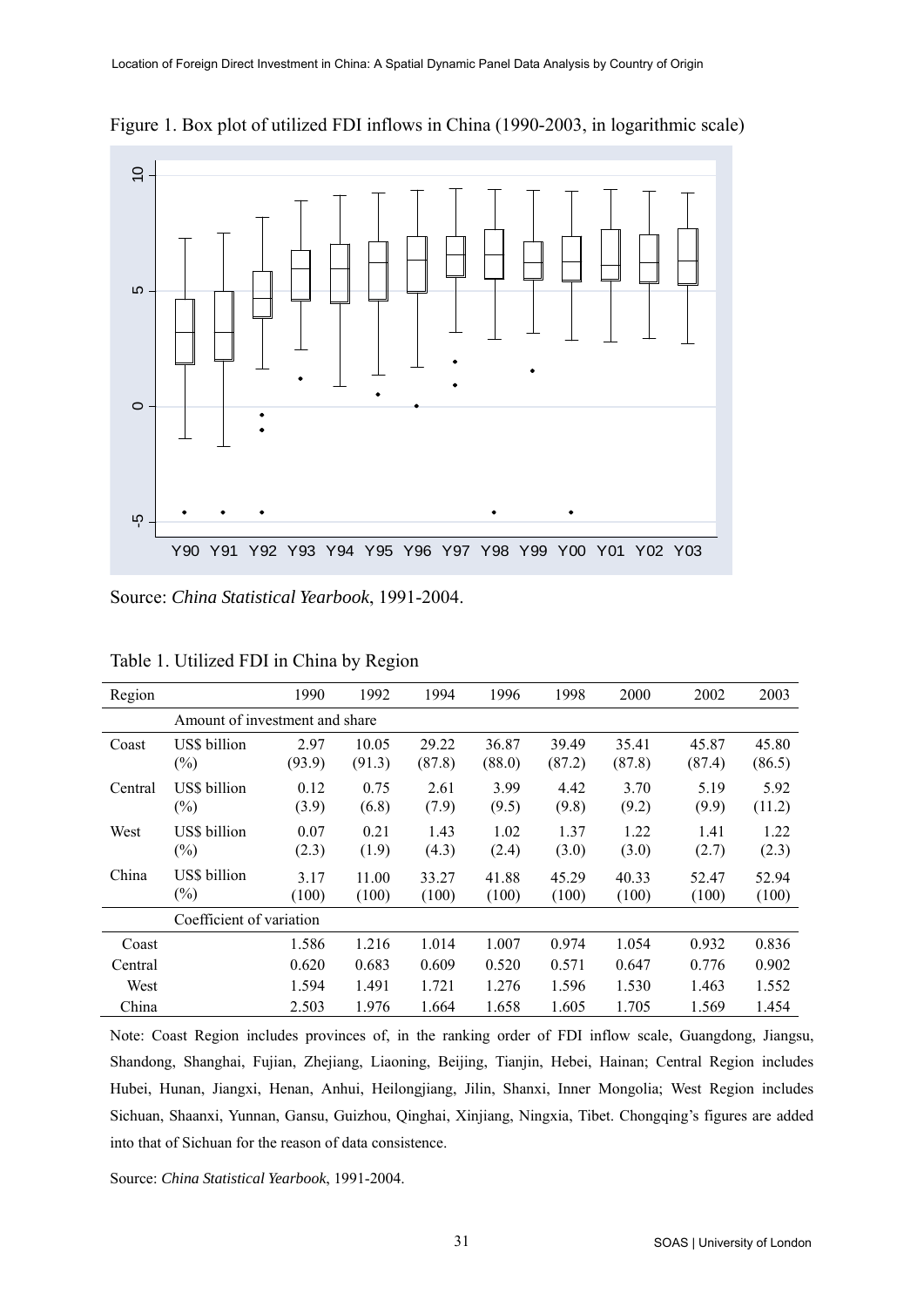

Figure 1. Box plot of utilized FDI inflows in China (1990-2003, in logarithmic scale)

Source: *China Statistical Yearbook*, 1991-2004.

| Region                         |                          | 1990           | 1992            | 1994            | 1996            | 1998            | 2000            | 2002            | 2003            |
|--------------------------------|--------------------------|----------------|-----------------|-----------------|-----------------|-----------------|-----------------|-----------------|-----------------|
| Amount of investment and share |                          |                |                 |                 |                 |                 |                 |                 |                 |
| Coast                          | US\$ billion<br>$(\%)$   | 2.97<br>(93.9) | 10.05<br>(91.3) | 29.22<br>(87.8) | 36.87<br>(88.0) | 39.49<br>(87.2) | 35.41<br>(87.8) | 45.87<br>(87.4) | 45.80<br>(86.5) |
| Central                        | US\$ billion<br>$(\%)$   | 0.12<br>(3.9)  | 0.75<br>(6.8)   | 2.61<br>(7.9)   | 3.99<br>(9.5)   | 4.42<br>(9.8)   | 3.70<br>(9.2)   | 5.19<br>(9.9)   | 5.92<br>(11.2)  |
| West                           | US\$ billion<br>$(\%)$   | 0.07<br>(2.3)  | 0.21<br>(1.9)   | 1.43<br>(4.3)   | 1.02<br>(2.4)   | 1.37<br>(3.0)   | 1.22<br>(3.0)   | 1.41<br>(2.7)   | 1.22<br>(2.3)   |
| China                          | US\$ billion<br>$(\%)$   | 3.17<br>(100)  | 11.00<br>(100)  | 33.27<br>(100)  | 41.88<br>(100)  | 45.29<br>(100)  | 40.33<br>(100)  | 52.47<br>(100)  | 52.94<br>(100)  |
|                                | Coefficient of variation |                |                 |                 |                 |                 |                 |                 |                 |
| Coast                          |                          | 1.586          | 1.216           | 1.014           | 1.007           | 0.974           | 1.054           | 0.932           | 0.836           |
| Central                        |                          | 0.620          | 0.683           | 0.609           | 0.520           | 0.571           | 0.647           | 0.776           | 0.902           |
| West                           |                          | 1.594          | 1.491           | 1.721           | 1.276           | 1.596           | 1.530           | 1.463           | 1.552           |
| China                          |                          | 2.503          | 1.976           | 1.664           | 1.658           | 1.605           | 1.705           | 1.569           | 1.454           |

Table 1. Utilized FDI in China by Region

Note: Coast Region includes provinces of, in the ranking order of FDI inflow scale, Guangdong, Jiangsu, Shandong, Shanghai, Fujian, Zhejiang, Liaoning, Beijing, Tianjin, Hebei, Hainan; Central Region includes Hubei, Hunan, Jiangxi, Henan, Anhui, Heilongjiang, Jilin, Shanxi, Inner Mongolia; West Region includes Sichuan, Shaanxi, Yunnan, Gansu, Guizhou, Qinghai, Xinjiang, Ningxia, Tibet. Chongqing's figures are added into that of Sichuan for the reason of data consistence.

Source: *China Statistical Yearbook*, 1991-2004.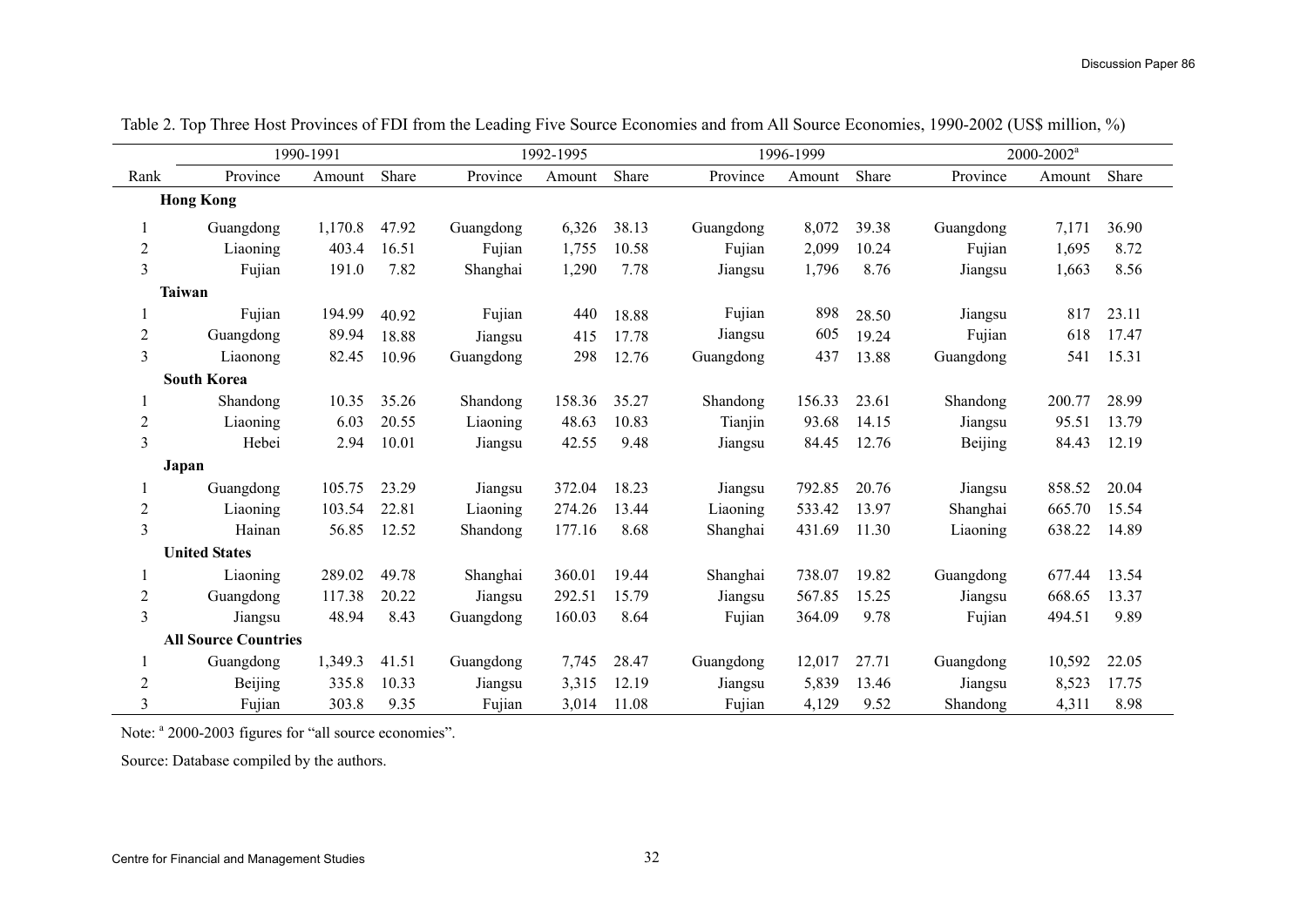|                | 1990-1991                   |         | 1992-1995 |           |        | 1996-1999 |           |        | $2000 - 2002$ <sup>a</sup> |           |        |       |
|----------------|-----------------------------|---------|-----------|-----------|--------|-----------|-----------|--------|----------------------------|-----------|--------|-------|
| Rank           | Province                    | Amount  | Share     | Province  | Amount | Share     | Province  | Amount | Share                      | Province  | Amount | Share |
|                | <b>Hong Kong</b>            |         |           |           |        |           |           |        |                            |           |        |       |
|                | Guangdong                   | 1,170.8 | 47.92     | Guangdong | 6,326  | 38.13     | Guangdong | 8,072  | 39.38                      | Guangdong | 7,171  | 36.90 |
| $\overline{c}$ | Liaoning                    | 403.4   | 16.51     | Fujian    | 1,755  | 10.58     | Fujian    | 2,099  | 10.24                      | Fujian    | 1,695  | 8.72  |
| $\overline{3}$ | Fujian                      | 191.0   | 7.82      | Shanghai  | 1,290  | 7.78      | Jiangsu   | 1,796  | 8.76                       | Jiangsu   | 1,663  | 8.56  |
|                | <b>Taiwan</b>               |         |           |           |        |           |           |        |                            |           |        |       |
|                | Fujian                      | 194.99  | 40.92     | Fujian    | 440    | 18.88     | Fujian    | 898    | 28.50                      | Jiangsu   | 817    | 23.11 |
| $\overline{c}$ | Guangdong                   | 89.94   | 18.88     | Jiangsu   | 415    | 17.78     | Jiangsu   | 605    | 19.24                      | Fujian    | 618    | 17.47 |
| 3              | Liaonong                    | 82.45   | 10.96     | Guangdong | 298    | 12.76     | Guangdong | 437    | 13.88                      | Guangdong | 541    | 15.31 |
|                | <b>South Korea</b>          |         |           |           |        |           |           |        |                            |           |        |       |
|                | Shandong                    | 10.35   | 35.26     | Shandong  | 158.36 | 35.27     | Shandong  | 156.33 | 23.61                      | Shandong  | 200.77 | 28.99 |
| $\overline{c}$ | Liaoning                    | 6.03    | 20.55     | Liaoning  | 48.63  | 10.83     | Tianjin   | 93.68  | 14.15                      | Jiangsu   | 95.51  | 13.79 |
| 3              | Hebei                       | 2.94    | 10.01     | Jiangsu   | 42.55  | 9.48      | Jiangsu   | 84.45  | 12.76                      | Beijing   | 84.43  | 12.19 |
|                | Japan                       |         |           |           |        |           |           |        |                            |           |        |       |
|                | Guangdong                   | 105.75  | 23.29     | Jiangsu   | 372.04 | 18.23     | Jiangsu   | 792.85 | 20.76                      | Jiangsu   | 858.52 | 20.04 |
| $\overline{c}$ | Liaoning                    | 103.54  | 22.81     | Liaoning  | 274.26 | 13.44     | Liaoning  | 533.42 | 13.97                      | Shanghai  | 665.70 | 15.54 |
| 3              | Hainan                      | 56.85   | 12.52     | Shandong  | 177.16 | 8.68      | Shanghai  | 431.69 | 11.30                      | Liaoning  | 638.22 | 14.89 |
|                | <b>United States</b>        |         |           |           |        |           |           |        |                            |           |        |       |
|                | Liaoning                    | 289.02  | 49.78     | Shanghai  | 360.01 | 19.44     | Shanghai  | 738.07 | 19.82                      | Guangdong | 677.44 | 13.54 |
| $\overline{c}$ | Guangdong                   | 117.38  | 20.22     | Jiangsu   | 292.51 | 15.79     | Jiangsu   | 567.85 | 15.25                      | Jiangsu   | 668.65 | 13.37 |
| 3              | Jiangsu                     | 48.94   | 8.43      | Guangdong | 160.03 | 8.64      | Fujian    | 364.09 | 9.78                       | Fujian    | 494.51 | 9.89  |
|                | <b>All Source Countries</b> |         |           |           |        |           |           |        |                            |           |        |       |
|                | Guangdong                   | 1,349.3 | 41.51     | Guangdong | 7,745  | 28.47     | Guangdong | 12,017 | 27.71                      | Guangdong | 10,592 | 22.05 |
| 2              | Beijing                     | 335.8   | 10.33     | Jiangsu   | 3,315  | 12.19     | Jiangsu   | 5,839  | 13.46                      | Jiangsu   | 8,523  | 17.75 |
| 3              | Fujian                      | 303.8   | 9.35      | Fujian    | 3,014  | 11.08     | Fujian    | 4,129  | 9.52                       | Shandong  | 4,311  | 8.98  |

Table 2. Top Three Host Provinces of FDI from the Leading Five Source Economies and from All Source Economies, 1990-2002 (US\$ million, %)

Note: <sup>a</sup> 2000-2003 figures for "all source economies".

Source: Database compiled by the authors.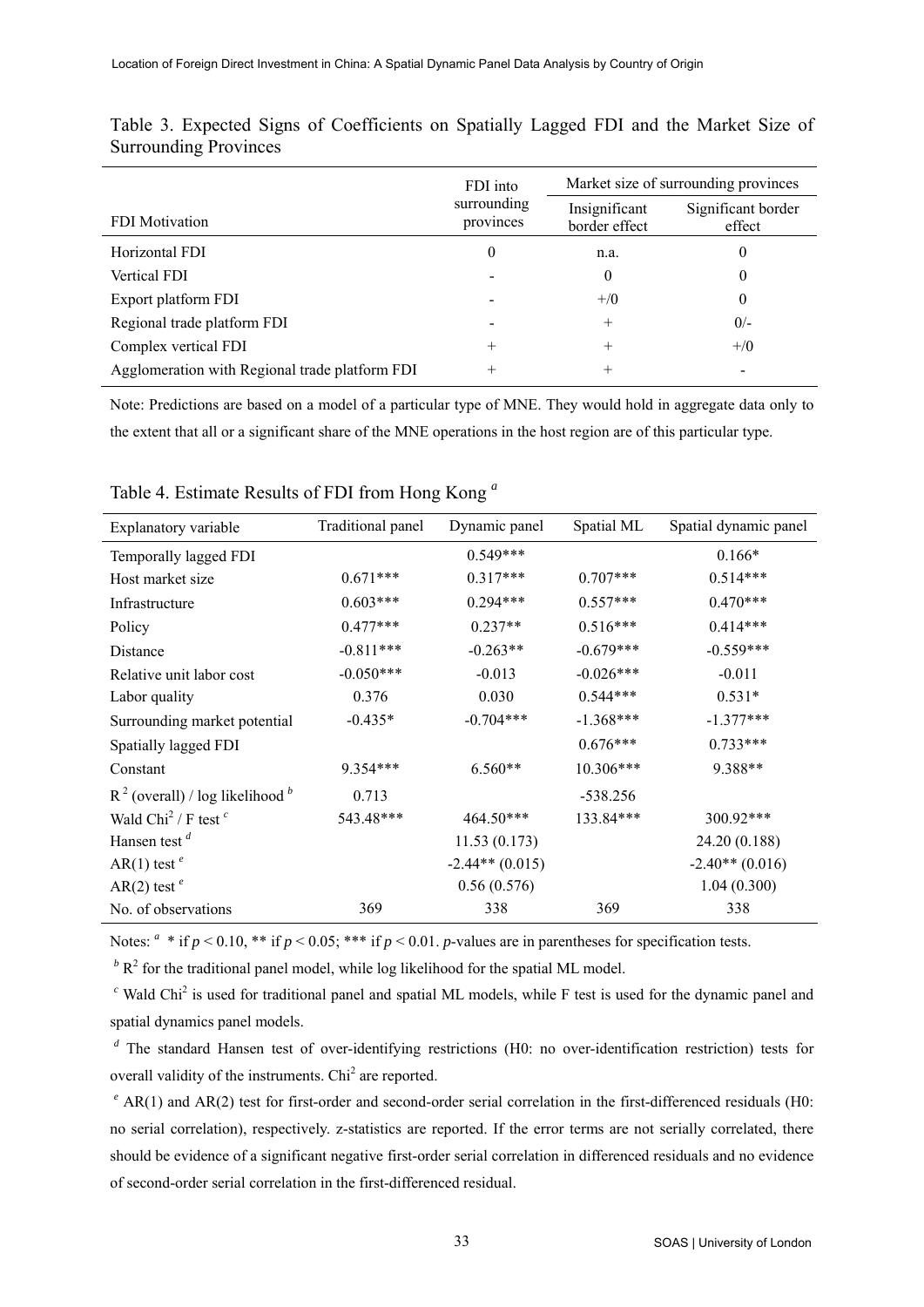|                                                | FDI into                 | Market size of surrounding provinces |                              |  |  |
|------------------------------------------------|--------------------------|--------------------------------------|------------------------------|--|--|
| <b>FDI</b> Motivation                          | surrounding<br>provinces | Insignificant<br>border effect       | Significant border<br>effect |  |  |
| Horizontal FDI                                 | $\theta$                 | n.a.                                 | 0                            |  |  |
| <b>Vertical FDI</b>                            |                          | $\theta$                             | 0                            |  |  |
| Export platform FDI                            |                          | $+$ /0                               | 0                            |  |  |
| Regional trade platform FDI                    |                          | $^{+}$                               | $0/-$                        |  |  |
| Complex vertical FDI                           | $^{+}$                   | $^{+}$                               | $+$ /0                       |  |  |
| Agglomeration with Regional trade platform FDI | $^{+}$                   |                                      |                              |  |  |

Table 3. Expected Signs of Coefficients on Spatially Lagged FDI and the Market Size of Surrounding Provinces

Note: Predictions are based on a model of a particular type of MNE. They would hold in aggregate data only to the extent that all or a significant share of the MNE operations in the host region are of this particular type.

| Explanatory variable                           | Traditional panel | Dynamic panel     | Spatial ML  | Spatial dynamic panel |
|------------------------------------------------|-------------------|-------------------|-------------|-----------------------|
| Temporally lagged FDI                          |                   | $0.549***$        |             | $0.166*$              |
| Host market size                               | $0.671***$        | $0.317***$        | $0.707***$  | $0.514***$            |
| Infrastructure                                 | $0.603***$        | $0.294***$        | $0.557***$  | $0.470***$            |
| Policy                                         | $0.477***$        | $0.237**$         | $0.516***$  | $0.414***$            |
| Distance                                       | $-0.811***$       | $-0.263**$        | $-0.679***$ | $-0.559***$           |
| Relative unit labor cost                       | $-0.050***$       | $-0.013$          | $-0.026***$ | $-0.011$              |
| Labor quality                                  | 0.376             | 0.030             | $0.544***$  | $0.531*$              |
| Surrounding market potential                   | $-0.435*$         | $-0.704***$       | $-1.368***$ | $-1.377***$           |
| Spatially lagged FDI                           |                   |                   | $0.676***$  | $0.733***$            |
| Constant                                       | 9.354***          | $6.560**$         | 10.306***   | 9.388**               |
| $R^2$ (overall) / log likelihood $\frac{b}{a}$ | 0.713             |                   | $-538.256$  |                       |
| Wald Chi <sup>2</sup> / F test <sup>c</sup>    | 543.48***         | 464.50***         | 133.84***   | 300.92***             |
| Hansen test $d$                                |                   | 11.53(0.173)      |             | 24.20 (0.188)         |
| AR(1) test <sup>e</sup>                        |                   | $-2.44**$ (0.015) |             | $-2.40**$ (0.016)     |
| AR(2) test <sup>e</sup>                        |                   | 0.56(0.576)       |             | 1.04(0.300)           |
| No. of observations                            | 369               | 338               | 369         | 338                   |

Table 4. Estimate Results of FDI from Hong Kong *<sup>a</sup>*

Notes:  $a * if p < 0.10, ** if p < 0.05; *** if p < 0.01.$  *p*-values are in parentheses for specification tests.

 $\beta$ <sup>b</sup> R<sup>2</sup> for the traditional panel model, while log likelihood for the spatial ML model.

 $c$  Wald Chi<sup>2</sup> is used for traditional panel and spatial ML models, while F test is used for the dynamic panel and spatial dynamics panel models.

*d* The standard Hansen test of over-identifying restrictions (H0: no over-identification restriction) tests for overall validity of the instruments. Chi<sup>2</sup> are reported.

<sup>e</sup> AR(1) and AR(2) test for first-order and second-order serial correlation in the first-differenced residuals (H0: no serial correlation), respectively. z-statistics are reported. If the error terms are not serially correlated, there should be evidence of a significant negative first-order serial correlation in differenced residuals and no evidence of second-order serial correlation in the first-differenced residual.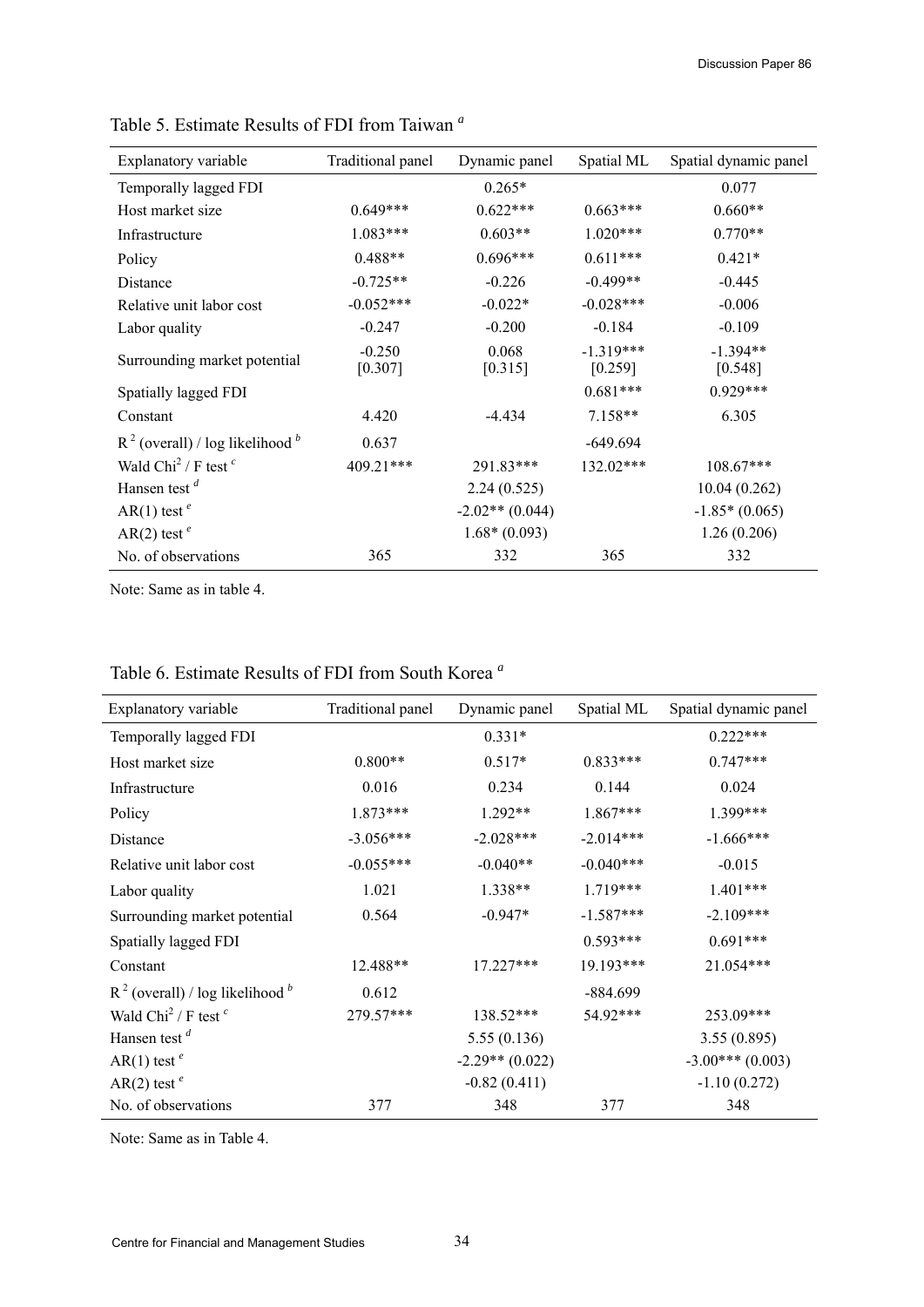| Explanatory variable                           | Traditional panel   | Dynamic panel     | Spatial ML             | Spatial dynamic panel |  |
|------------------------------------------------|---------------------|-------------------|------------------------|-----------------------|--|
| Temporally lagged FDI                          |                     | $0.265*$          |                        | 0.077                 |  |
| Host market size                               | $0.649***$          | $0.622***$        | $0.663***$             | $0.660**$             |  |
| Infrastructure                                 | $1.083***$          | $0.603**$         | $1.020***$             | $0.770**$             |  |
| Policy                                         | $0.488**$           | $0.696***$        | $0.611***$             | $0.421*$              |  |
| Distance                                       | $-0.725**$          | $-0.226$          | $-0.499**$             | $-0.445$              |  |
| Relative unit labor cost                       | $-0.052***$         | $-0.022*$         | $-0.028***$            | $-0.006$              |  |
| Labor quality                                  | $-0.247$            | $-0.200$          | $-0.184$               | $-0.109$              |  |
| Surrounding market potential                   | $-0.250$<br>[0.307] | 0.068<br>[0.315]  | $-1.319***$<br>[0.259] | $-1.394**$<br>[0.548] |  |
| Spatially lagged FDI                           |                     |                   | $0.681***$             | $0.929***$            |  |
| Constant                                       | 4.420               | $-4.434$          | $7.158**$              | 6.305                 |  |
| $R^2$ (overall) / log likelihood $\frac{b}{2}$ | 0.637               |                   | $-649.694$             |                       |  |
| Wald Chi <sup>2</sup> / F test $c$             | 409.21***           | 291.83***         | $132.02***$            | $108.67***$           |  |
| Hansen test $d$                                |                     | 2.24(0.525)       |                        | 10.04(0.262)          |  |
| AR(1) test <sup>e</sup>                        |                     | $-2.02**$ (0.044) |                        | $-1.85*(0.065)$       |  |
| AR(2) test <sup>e</sup>                        |                     | $1.68*(0.093)$    |                        | 1.26(0.206)           |  |
| No. of observations                            | 365                 | 332               | 365                    | 332                   |  |

Table 5. Estimate Results of FDI from Taiwan *<sup>a</sup>*

Note: Same as in table 4.

| Explanatory variable                           | Traditional panel | Dynamic panel     | Spatial ML  | Spatial dynamic panel |
|------------------------------------------------|-------------------|-------------------|-------------|-----------------------|
| Temporally lagged FDI                          |                   | $0.331*$          |             | $0.222***$            |
| Host market size                               | $0.800**$         | $0.517*$          | $0.833***$  | $0.747***$            |
| Infrastructure                                 | 0.016             | 0.234             | 0.144       | 0.024                 |
| Policy                                         | 1.873***          | $1.292**$         | $1.867***$  | 1.399***              |
| Distance                                       | $-3.056***$       | $-2.028***$       | $-2.014***$ | $-1.666***$           |
| Relative unit labor cost                       | $-0.055***$       | $-0.040**$        | $-0.040***$ | $-0.015$              |
| Labor quality                                  | 1.021             | $1.338**$         | $1.719***$  | $1.401***$            |
| Surrounding market potential                   | 0.564             | $-0.947*$         | $-1.587***$ | $-2.109***$           |
| Spatially lagged FDI                           |                   |                   | $0.593***$  | $0.691***$            |
| Constant                                       | 12.488**          | $17.227***$       | $19.193***$ | 21.054***             |
| $R^2$ (overall) / log likelihood $\frac{b}{2}$ | 0.612             |                   | $-884.699$  |                       |
| Wald Chi <sup>2</sup> / F test <sup>c</sup>    | 279.57***         | 138.52***         | 54.92***    | 253.09***             |
| Hansen test $d$                                |                   | 5.55(0.136)       |             | 3.55(0.895)           |
| AR(1) test <sup>e</sup>                        |                   | $-2.29**$ (0.022) |             | $-3.00***(0.003)$     |
| AR(2) test <sup>e</sup>                        |                   | $-0.82(0.411)$    |             | $-1.10(0.272)$        |
| No. of observations                            | 377               | 348               | 377         | 348                   |

# Table 6. Estimate Results of FDI from South Korea *<sup>a</sup>*

Note: Same as in Table 4.